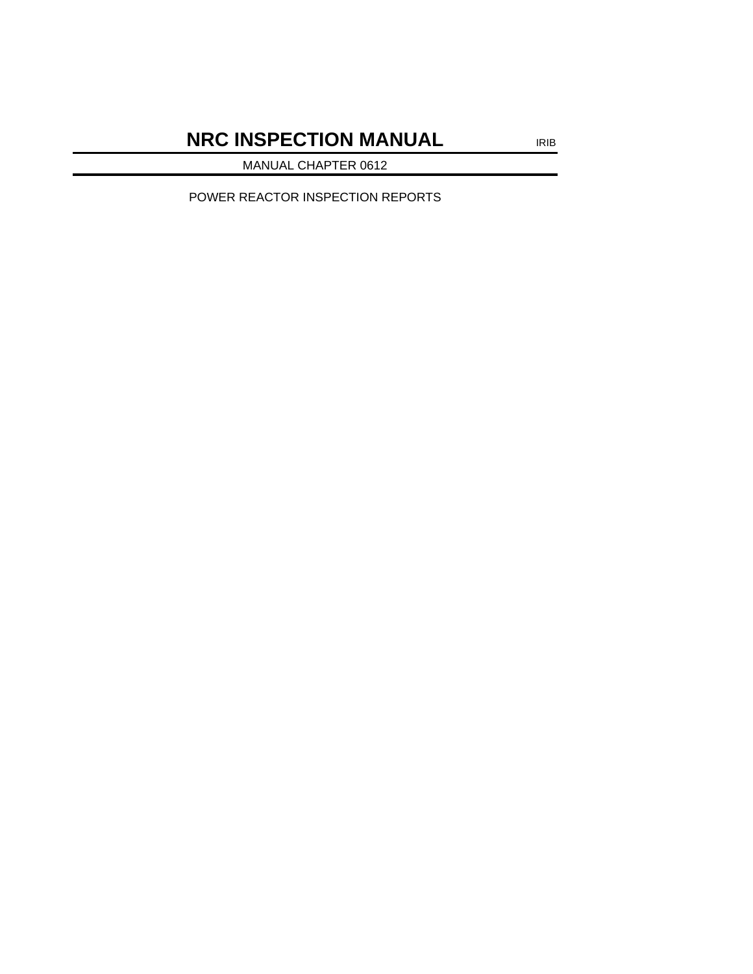# **NRC INSPECTION MANUAL** IRIB

MANUAL CHAPTER 0612

POWER REACTOR INSPECTION REPORTS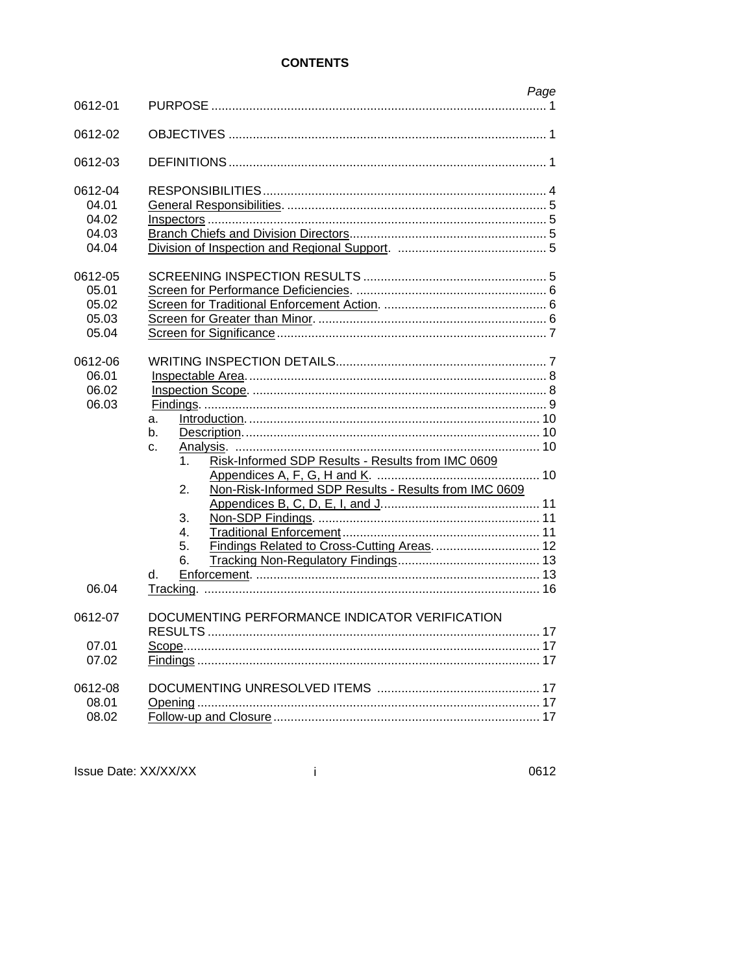# **CONTENTS**

| 0612-01                                     | Page                                                                                                                                                                                                                        |
|---------------------------------------------|-----------------------------------------------------------------------------------------------------------------------------------------------------------------------------------------------------------------------------|
| 0612-02                                     |                                                                                                                                                                                                                             |
| 0612-03                                     |                                                                                                                                                                                                                             |
| 0612-04<br>04.01<br>04.02<br>04.03<br>04.04 |                                                                                                                                                                                                                             |
| 0612-05<br>05.01<br>05.02<br>05.03<br>05.04 |                                                                                                                                                                                                                             |
| 0612-06<br>06.01<br>06.02<br>06.03<br>06.04 | a.<br>b.<br>$C_{-}$<br>Risk-Informed SDP Results - Results from IMC 0609<br>1.<br>Non-Risk-Informed SDP Results - Results from IMC 0609<br>2.<br>3.<br>4.<br>Findings Related to Cross-Cutting Areas.  12<br>5.<br>6.<br>d. |
| 0612-07<br>07.01                            | DOCUMENTING PERFORMANCE INDICATOR VERIFICATION                                                                                                                                                                              |
| 07.02<br>0612-08<br>08.01<br>08.02          | 17                                                                                                                                                                                                                          |

Issue Date: XX/XX/XX

 $\mathbf{i}$ 

0612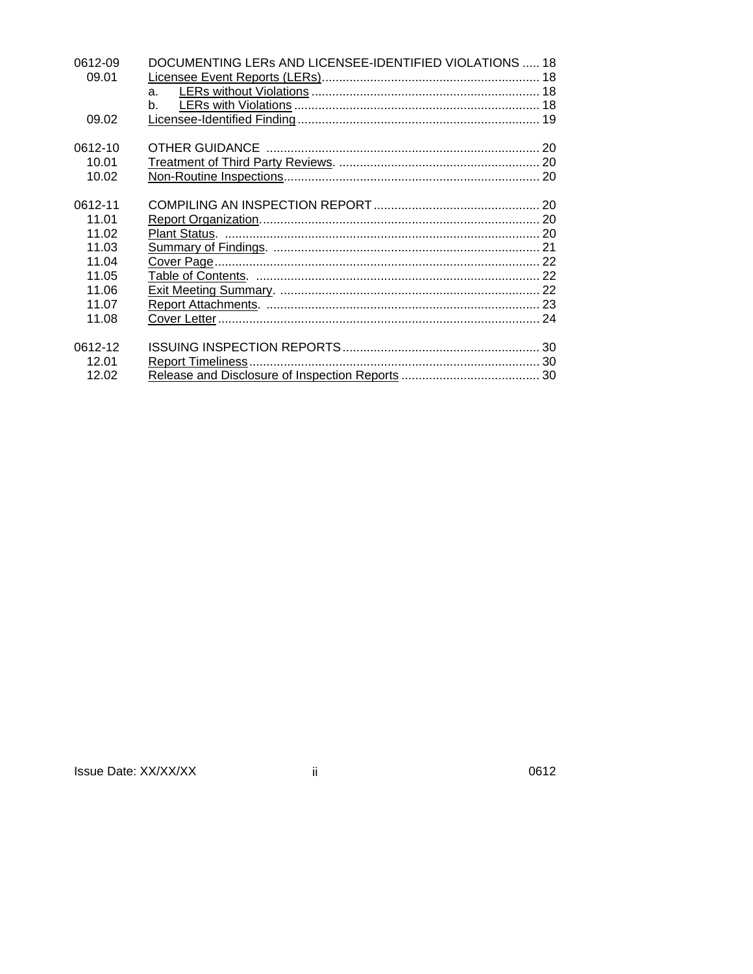| 0612-09 | DOCUMENTING LERS AND LICENSEE-IDENTIFIED VIOLATIONS  18 |  |
|---------|---------------------------------------------------------|--|
| 09.01   |                                                         |  |
|         | a <sub>z</sub>                                          |  |
|         | b.                                                      |  |
| 09.02   |                                                         |  |
| 0612-10 |                                                         |  |
| 10.01   |                                                         |  |
| 10.02   |                                                         |  |
| 0612-11 |                                                         |  |
| 11.01   |                                                         |  |
| 11.02   |                                                         |  |
| 11.03   |                                                         |  |
| 11.04   |                                                         |  |
| 11.05   |                                                         |  |
| 11.06   |                                                         |  |
| 11.07   |                                                         |  |
| 11.08   |                                                         |  |
| 0612-12 |                                                         |  |
| 12.01   |                                                         |  |
| 12.02   |                                                         |  |

| Issue Date: XX/XX/XX |  |  |
|----------------------|--|--|
|----------------------|--|--|

 $\ddot{\rm n}$ 

0612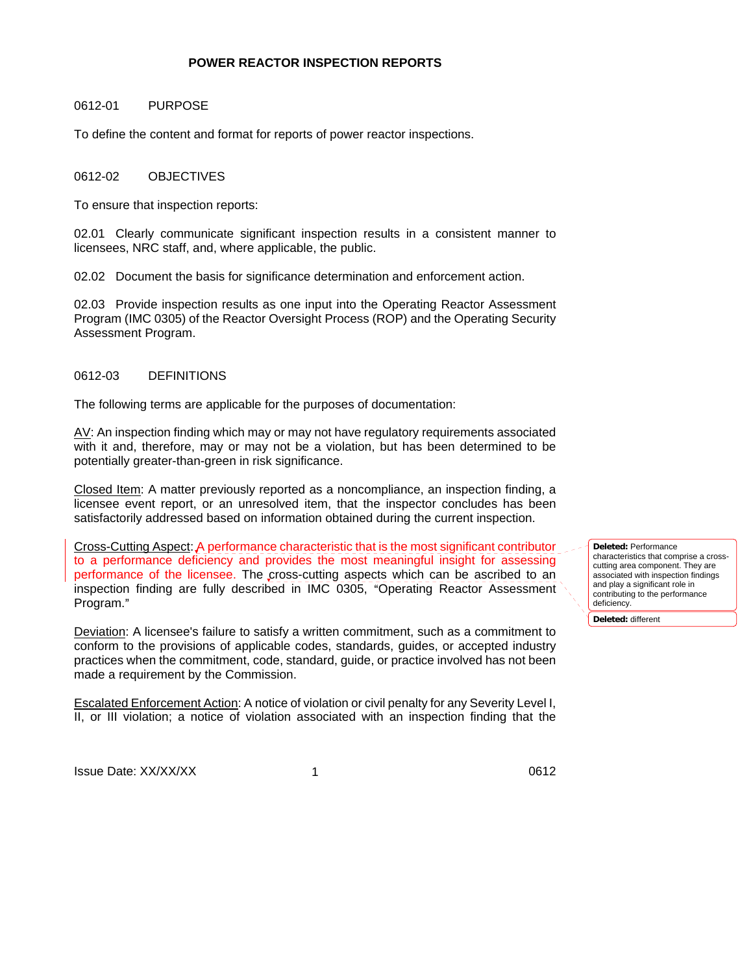#### **POWER REACTOR INSPECTION REPORTS**

#### 0612-01 PURPOSE

To define the content and format for reports of power reactor inspections.

## 0612-02 OBJECTIVES

To ensure that inspection reports:

02.01 Clearly communicate significant inspection results in a consistent manner to licensees, NRC staff, and, where applicable, the public.

02.02 Document the basis for significance determination and enforcement action.

02.03 Provide inspection results as one input into the Operating Reactor Assessment Program (IMC 0305) of the Reactor Oversight Process (ROP) and the Operating Security Assessment Program.

#### 0612-03 DEFINITIONS

The following terms are applicable for the purposes of documentation:

AV: An inspection finding which may or may not have regulatory requirements associated with it and, therefore, may or may not be a violation, but has been determined to be potentially greater-than-green in risk significance.

Closed Item: A matter previously reported as a noncompliance, an inspection finding, a licensee event report, or an unresolved item, that the inspector concludes has been satisfactorily addressed based on information obtained during the current inspection.

Cross-Cutting Aspect: A performance characteristic that is the most significant contributor to a performance deficiency and provides the most meaningful insight for assessing performance of the licensee. The cross-cutting aspects which can be ascribed to an inspection finding are fully described in IMC 0305, "Operating Reactor Assessment Program."

Deviation: A licensee's failure to satisfy a written commitment, such as a commitment to conform to the provisions of applicable codes, standards, guides, or accepted industry practices when the commitment, code, standard, guide, or practice involved has not been made a requirement by the Commission.

Escalated Enforcement Action: A notice of violation or civil penalty for any Severity Level I, II, or III violation; a notice of violation associated with an inspection finding that the **Deleted:** Performance characteristics that comprise a crosscutting area component. They are associated with inspection findings and play a significant role in contributing to the performance deficiency.

**Deleted:** different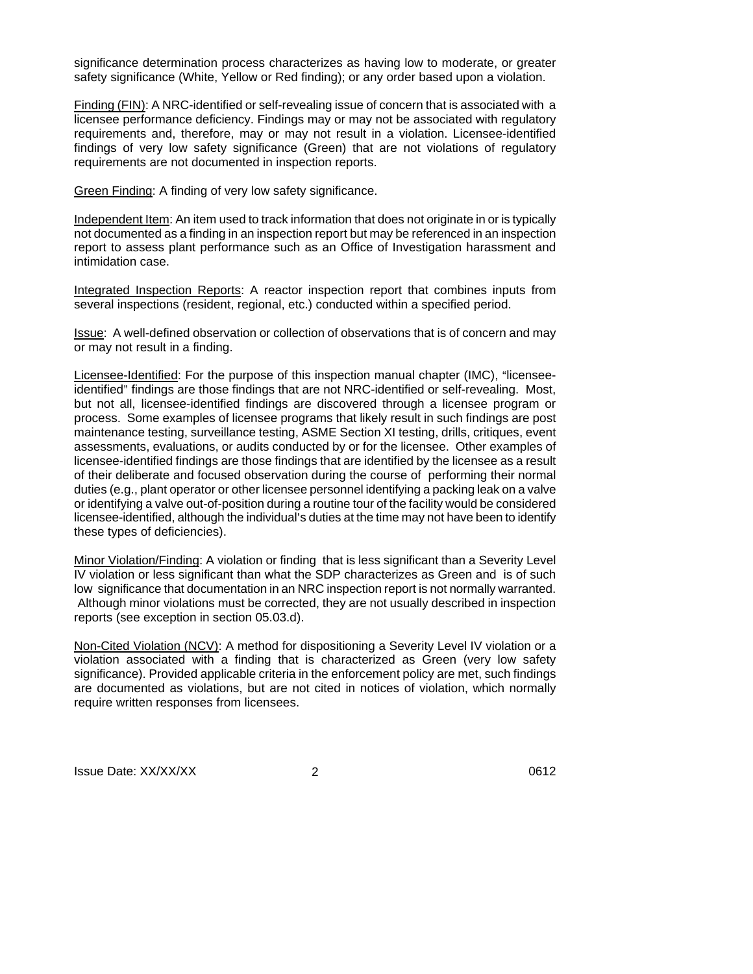significance determination process characterizes as having low to moderate, or greater safety significance (White, Yellow or Red finding); or any order based upon a violation.

Finding (FIN): A NRC-identified or self-revealing issue of concern that is associated with a licensee performance deficiency. Findings may or may not be associated with regulatory requirements and, therefore, may or may not result in a violation. Licensee-identified findings of very low safety significance (Green) that are not violations of regulatory requirements are not documented in inspection reports.

Green Finding: A finding of very low safety significance.

Independent Item: An item used to track information that does not originate in or is typically not documented as a finding in an inspection report but may be referenced in an inspection report to assess plant performance such as an Office of Investigation harassment and intimidation case.

Integrated Inspection Reports: A reactor inspection report that combines inputs from several inspections (resident, regional, etc.) conducted within a specified period.

Issue: A well-defined observation or collection of observations that is of concern and may or may not result in a finding.

Licensee-Identified: For the purpose of this inspection manual chapter (IMC), "licenseeidentified" findings are those findings that are not NRC-identified or self-revealing. Most, but not all, licensee-identified findings are discovered through a licensee program or process. Some examples of licensee programs that likely result in such findings are post maintenance testing, surveillance testing, ASME Section XI testing, drills, critiques, event assessments, evaluations, or audits conducted by or for the licensee. Other examples of licensee-identified findings are those findings that are identified by the licensee as a result of their deliberate and focused observation during the course of performing their normal duties (e.g., plant operator or other licensee personnel identifying a packing leak on a valve or identifying a valve out-of-position during a routine tour of the facility would be considered licensee-identified, although the individual's duties at the time may not have been to identify these types of deficiencies).

Minor Violation/Finding: A violation or finding that is less significant than a Severity Level IV violation or less significant than what the SDP characterizes as Green and is of such low significance that documentation in an NRC inspection report is not normally warranted. Although minor violations must be corrected, they are not usually described in inspection reports (see exception in section 05.03.d).

Non-Cited Violation (NCV): A method for dispositioning a Severity Level IV violation or a violation associated with a finding that is characterized as Green (very low safety significance). Provided applicable criteria in the enforcement policy are met, such findings are documented as violations, but are not cited in notices of violation, which normally require written responses from licensees.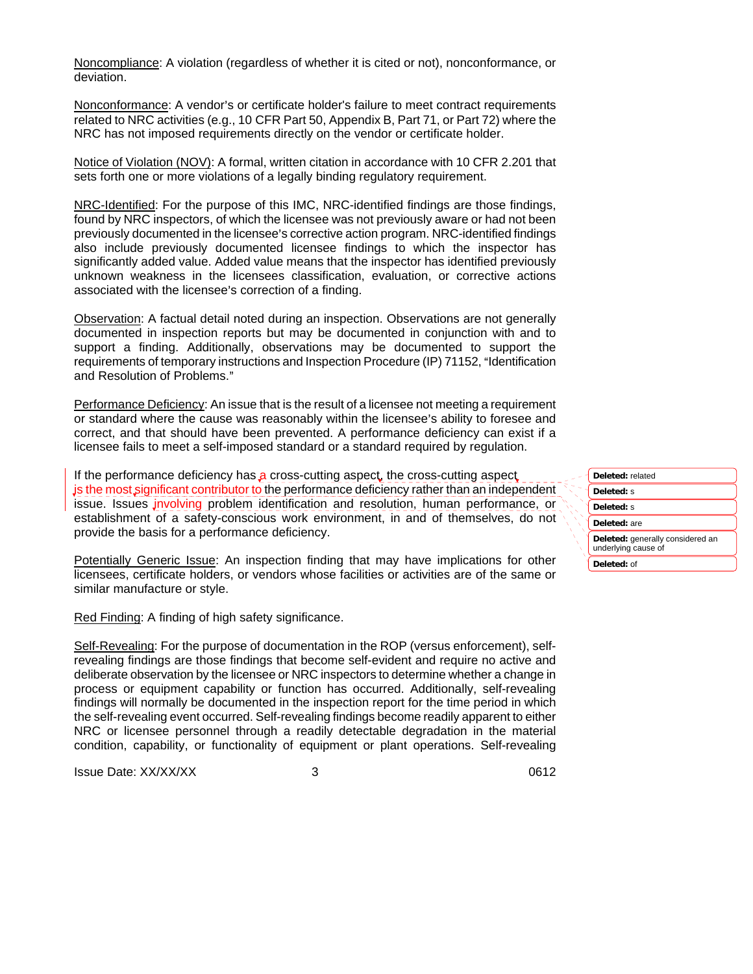Noncompliance: A violation (regardless of whether it is cited or not), nonconformance, or deviation.

Nonconformance: A vendor's or certificate holder's failure to meet contract requirements related to NRC activities (e.g., 10 CFR Part 50, Appendix B, Part 71, or Part 72) where the NRC has not imposed requirements directly on the vendor or certificate holder.

Notice of Violation (NOV): A formal, written citation in accordance with 10 CFR 2.201 that sets forth one or more violations of a legally binding regulatory requirement.

NRC-Identified: For the purpose of this IMC, NRC-identified findings are those findings, found by NRC inspectors, of which the licensee was not previously aware or had not been previously documented in the licensee's corrective action program. NRC-identified findings also include previously documented licensee findings to which the inspector has significantly added value. Added value means that the inspector has identified previously unknown weakness in the licensees classification, evaluation, or corrective actions associated with the licensee's correction of a finding.

Observation: A factual detail noted during an inspection. Observations are not generally documented in inspection reports but may be documented in conjunction with and to support a finding. Additionally, observations may be documented to support the requirements of temporary instructions and Inspection Procedure (IP) 71152, "Identification and Resolution of Problems."

Performance Deficiency: An issue that is the result of a licensee not meeting a requirement or standard where the cause was reasonably within the licensee's ability to foresee and correct, and that should have been prevented. A performance deficiency can exist if a licensee fails to meet a self-imposed standard or a standard required by regulation.

If the performance deficiency has a cross-cutting aspect, the cross-cutting aspect is the most significant contributor to the performance deficiency rather than an independent issue. Issues *jnvolving* problem identification and resolution, human performance, or establishment of a safety-conscious work environment, in and of themselves, do not provide the basis for a performance deficiency.

Potentially Generic Issue: An inspection finding that may have implications for other licensees, certificate holders, or vendors whose facilities or activities are of the same or similar manufacture or style.

Red Finding: A finding of high safety significance.

Self-Revealing: For the purpose of documentation in the ROP (versus enforcement), selfrevealing findings are those findings that become self-evident and require no active and deliberate observation by the licensee or NRC inspectors to determine whether a change in process or equipment capability or function has occurred. Additionally, self-revealing findings will normally be documented in the inspection report for the time period in which the self-revealing event occurred. Self-revealing findings become readily apparent to either NRC or licensee personnel through a readily detectable degradation in the material condition, capability, or functionality of equipment or plant operations. Self-revealing

Issue Date: XX/XX/XX 0612 3

**Deleted:** related **Deleted:** s **Deleted:** s **Deleted:** are **Deleted:** generally considered an underlying cause of **Deleted:** of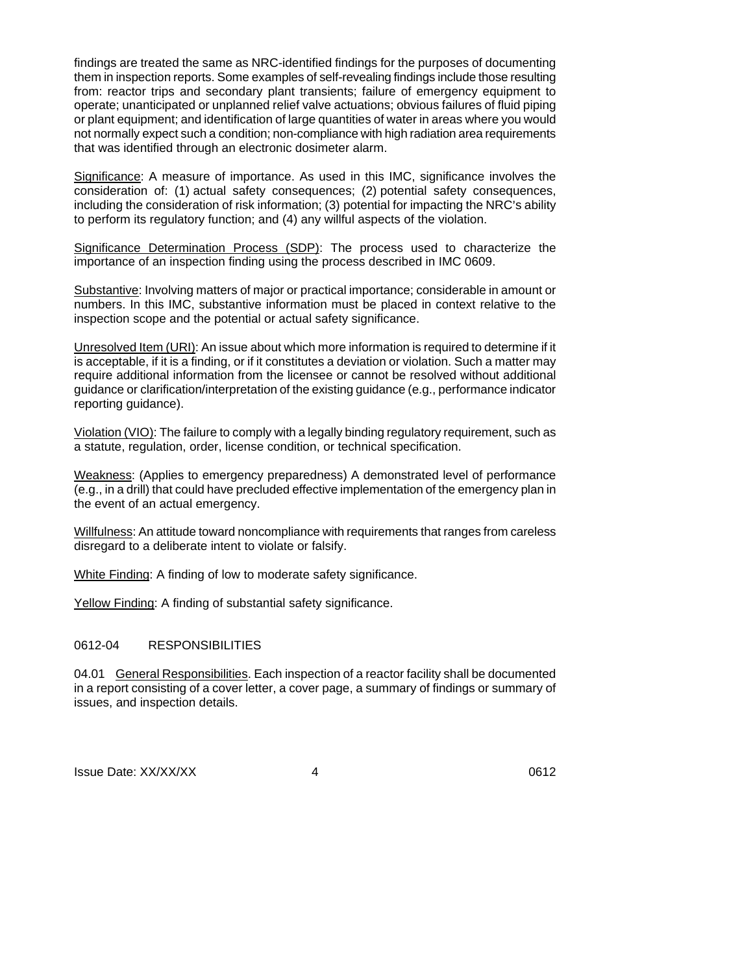findings are treated the same as NRC-identified findings for the purposes of documenting them in inspection reports. Some examples of self-revealing findings include those resulting from: reactor trips and secondary plant transients; failure of emergency equipment to operate; unanticipated or unplanned relief valve actuations; obvious failures of fluid piping or plant equipment; and identification of large quantities of water in areas where you would not normally expect such a condition; non-compliance with high radiation area requirements that was identified through an electronic dosimeter alarm.

Significance: A measure of importance. As used in this IMC, significance involves the consideration of: (1) actual safety consequences; (2) potential safety consequences, including the consideration of risk information: (3) potential for impacting the NRC's ability to perform its regulatory function; and (4) any willful aspects of the violation.

Significance Determination Process (SDP): The process used to characterize the importance of an inspection finding using the process described in IMC 0609.

Substantive: Involving matters of major or practical importance; considerable in amount or numbers. In this IMC, substantive information must be placed in context relative to the inspection scope and the potential or actual safety significance.

Unresolved Item (URI): An issue about which more information is required to determine if it is acceptable, if it is a finding, or if it constitutes a deviation or violation. Such a matter may require additional information from the licensee or cannot be resolved without additional guidance or clarification/interpretation of the existing guidance (e.g., performance indicator reporting guidance).

Violation (VIO): The failure to comply with a legally binding regulatory requirement, such as a statute, regulation, order, license condition, or technical specification.

Weakness: (Applies to emergency preparedness) A demonstrated level of performance (e.g., in a drill) that could have precluded effective implementation of the emergency plan in the event of an actual emergency.

Willfulness: An attitude toward noncompliance with requirements that ranges from careless disregard to a deliberate intent to violate or falsify.

White Finding: A finding of low to moderate safety significance.

Yellow Finding: A finding of substantial safety significance.

### 0612-04 RESPONSIBILITIES

04.01 General Responsibilities. Each inspection of a reactor facility shall be documented in a report consisting of a cover letter, a cover page, a summary of findings or summary of issues, and inspection details.

Issue Date: XX/XX/XX 4 and 1612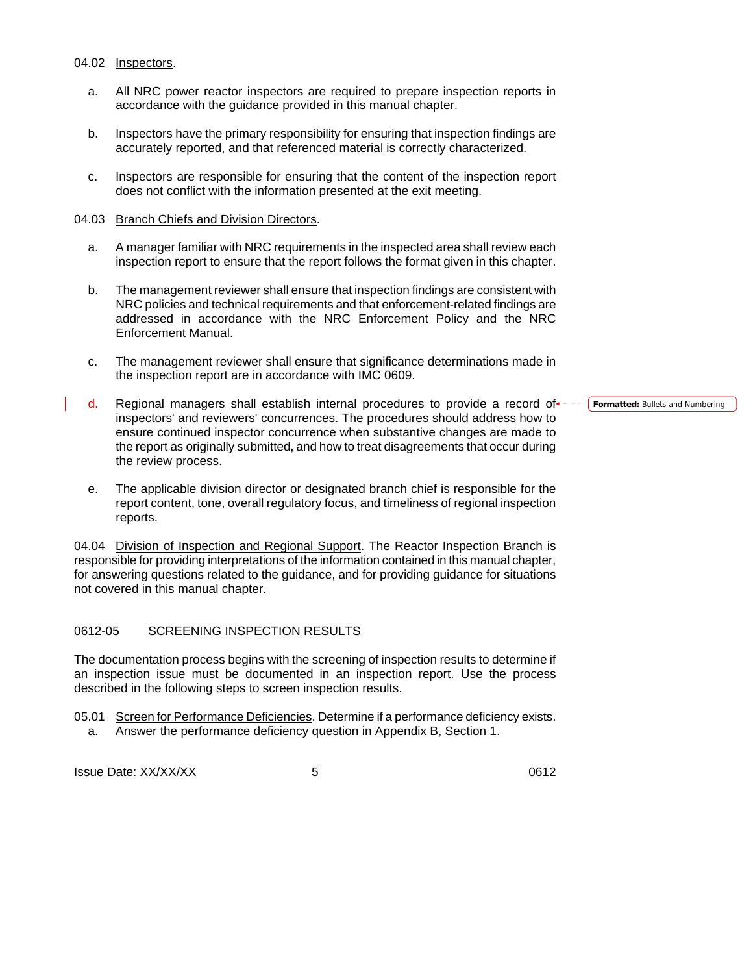#### 04.02 Inspectors.

- a. All NRC power reactor inspectors are required to prepare inspection reports in accordance with the guidance provided in this manual chapter.
- b. Inspectors have the primary responsibility for ensuring that inspection findings are accurately reported, and that referenced material is correctly characterized.
- c. Inspectors are responsible for ensuring that the content of the inspection report does not conflict with the information presented at the exit meeting.

#### 04.03 Branch Chiefs and Division Directors.

- a. A manager familiar with NRC requirements in the inspected area shall review each inspection report to ensure that the report follows the format given in this chapter.
- b. The management reviewer shall ensure that inspection findings are consistent with NRC policies and technical requirements and that enforcement-related findings are addressed in accordance with the NRC Enforcement Policy and the NRC Enforcement Manual.
- c. The management reviewer shall ensure that significance determinations made in the inspection report are in accordance with IMC 0609.
- d. Regional managers shall establish internal procedures to provide a record of inspectors' and reviewers' concurrences. The procedures should address how to ensure continued inspector concurrence when substantive changes are made to the report as originally submitted, and how to treat disagreements that occur during the review process.
- e. The applicable division director or designated branch chief is responsible for the report content, tone, overall regulatory focus, and timeliness of regional inspection reports.

04.04 Division of Inspection and Regional Support. The Reactor Inspection Branch is responsible for providing interpretations of the information contained in this manual chapter, for answering questions related to the guidance, and for providing guidance for situations not covered in this manual chapter.

## 0612-05 SCREENING INSPECTION RESULTS

The documentation process begins with the screening of inspection results to determine if an inspection issue must be documented in an inspection report. Use the process described in the following steps to screen inspection results.

05.01 Screen for Performance Deficiencies. Determine if a performance deficiency exists.

a. Answer the performance deficiency question in Appendix B, Section 1.

Issue Date: XX/XX/XX 65

**Formatted: Bullets and Numbering**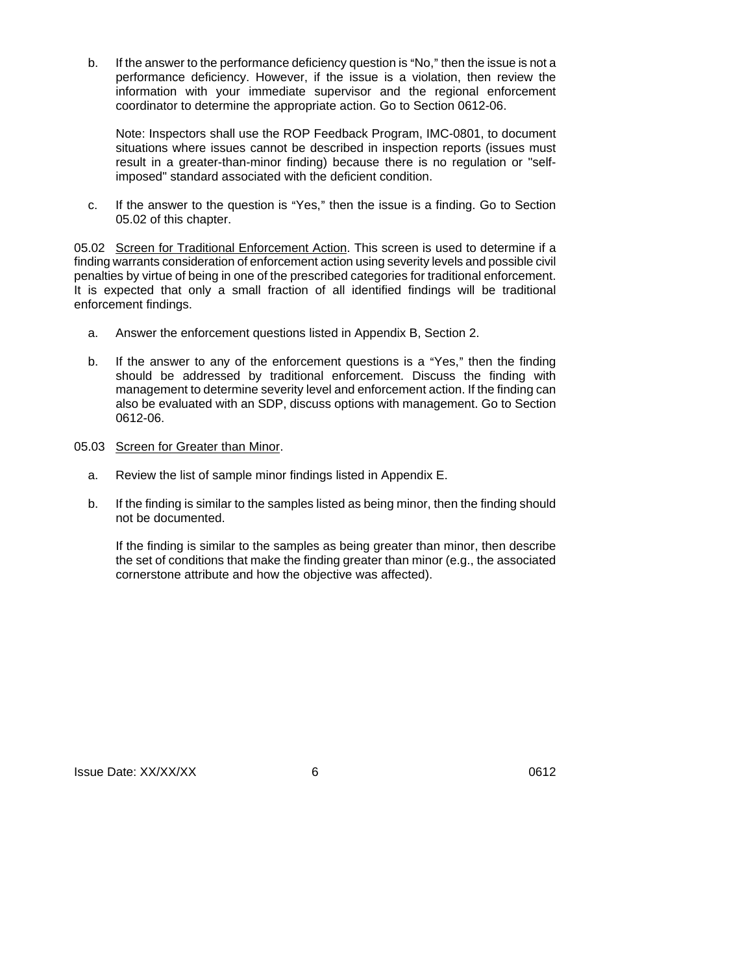b. If the answer to the performance deficiency question is "No," then the issue is not a performance deficiency. However, if the issue is a violation, then review the information with your immediate supervisor and the regional enforcement coordinator to determine the appropriate action. Go to Section 0612-06.

Note: Inspectors shall use the ROP Feedback Program, IMC-0801, to document situations where issues cannot be described in inspection reports (issues must result in a greater-than-minor finding) because there is no regulation or "selfimposed" standard associated with the deficient condition.

c. If the answer to the question is "Yes," then the issue is a finding. Go to Section 05.02 of this chapter.

05.02 Screen for Traditional Enforcement Action. This screen is used to determine if a finding warrants consideration of enforcement action using severity levels and possible civil penalties by virtue of being in one of the prescribed categories for traditional enforcement. It is expected that only a small fraction of all identified findings will be traditional enforcement findings.

- a. Answer the enforcement questions listed in Appendix B, Section 2.
- b. If the answer to any of the enforcement questions is a "Yes," then the finding should be addressed by traditional enforcement. Discuss the finding with management to determine severity level and enforcement action. If the finding can also be evaluated with an SDP, discuss options with management. Go to Section 0612-06.
- 05.03 Screen for Greater than Minor.
	- a. Review the list of sample minor findings listed in Appendix E.
	- b. If the finding is similar to the samples listed as being minor, then the finding should not be documented.

If the finding is similar to the samples as being greater than minor, then describe the set of conditions that make the finding greater than minor (e.g., the associated cornerstone attribute and how the objective was affected).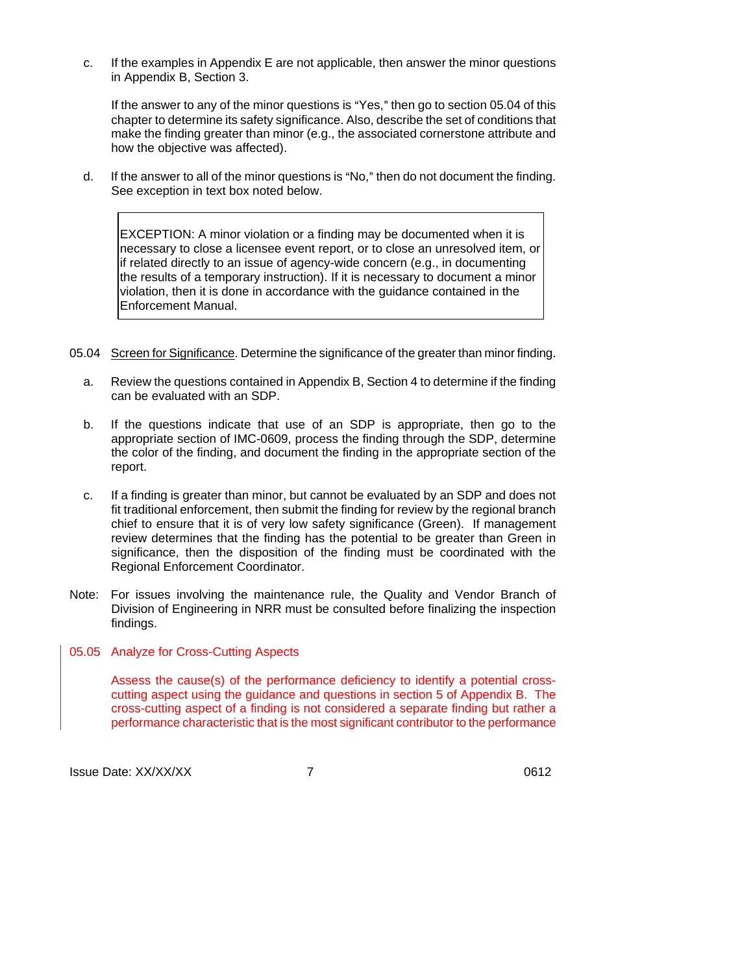c. If the examples in Appendix E are not applicable, then answer the minor questions in Appendix B, Section 3.

If the answer to any of the minor questions is "Yes," then go to section 05.04 of this chapter to determine its safety significance. Also, describe the set of conditions that make the finding greater than minor (e.g., the associated cornerstone attribute and how the objective was affected).

d. If the answer to all of the minor questions is "No," then do not document the finding. See exception in text box noted below.

EXCEPTION: A minor violation or a finding may be documented when it is necessary to close a licensee event report, or to close an unresolved item, or if related directly to an issue of agency-wide concern (e.g., in documenting the results of a temporary instruction). If it is necessary to document a minor violation, then it is done in accordance with the guidance contained in the Enforcement Manual.

- 05.04 Screen for Significance. Determine the significance of the greater than minor finding.
	- a. Review the questions contained in Appendix B, Section 4 to determine if the finding can be evaluated with an SDP.
	- b. If the questions indicate that use of an SDP is appropriate, then go to the appropriate section of IMC-0609, process the finding through the SDP, determine the color of the finding, and document the finding in the appropriate section of the report.
	- c. If a finding is greater than minor, but cannot be evaluated by an SDP and does not fit traditional enforcement, then submit the finding for review by the regional branch chief to ensure that it is of very low safety significance (Green). If management review determines that the finding has the potential to be greater than Green in significance, then the disposition of the finding must be coordinated with the Regional Enforcement Coordinator.
- Note: For issues involving the maintenance rule, the Quality and Vendor Branch of Division of Engineering in NRR must be consulted before finalizing the inspection findings.
- 05.05 Analyze for Cross-Cutting Aspects

 Assess the cause(s) of the performance deficiency to identify a potential crosscutting aspect using the guidance and questions in section 5 of Appendix B. The cross-cutting aspect of a finding is not considered a separate finding but rather a performance characteristic that is the most significant contributor to the performance

Issue Date: XX/XX/XX 7 7 7 0612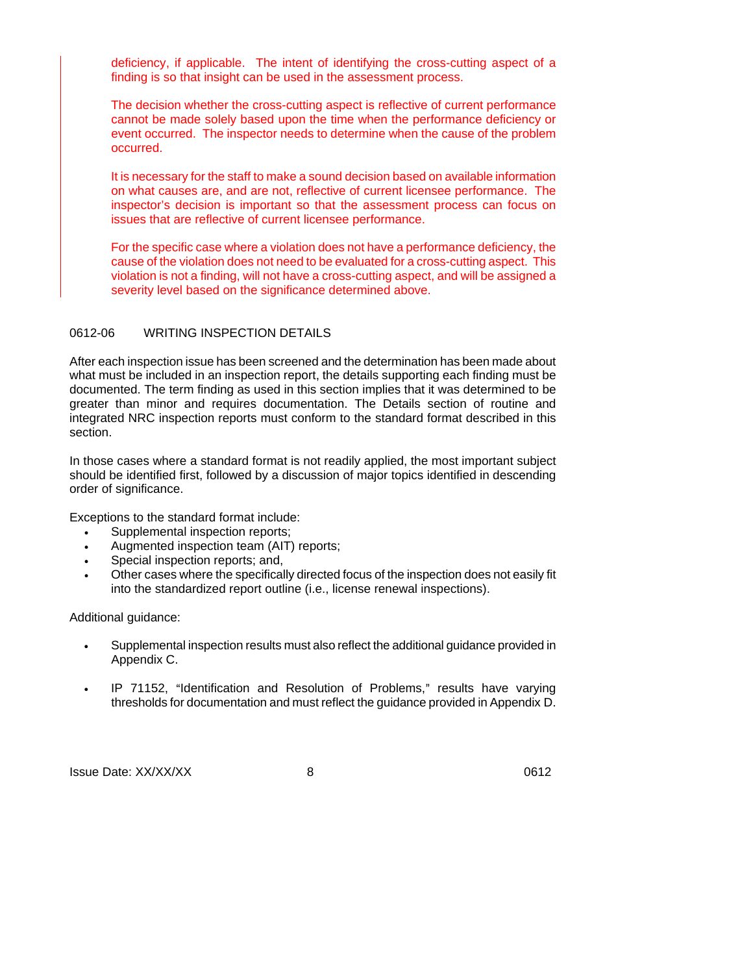deficiency, if applicable. The intent of identifying the cross-cutting aspect of a finding is so that insight can be used in the assessment process.

 The decision whether the cross-cutting aspect is reflective of current performance cannot be made solely based upon the time when the performance deficiency or event occurred. The inspector needs to determine when the cause of the problem occurred.

 It is necessary for the staff to make a sound decision based on available information on what causes are, and are not, reflective of current licensee performance. The inspector's decision is important so that the assessment process can focus on issues that are reflective of current licensee performance.

 For the specific case where a violation does not have a performance deficiency, the cause of the violation does not need to be evaluated for a cross-cutting aspect. This violation is not a finding, will not have a cross-cutting aspect, and will be assigned a severity level based on the significance determined above.

## 0612-06 WRITING INSPECTION DETAILS

After each inspection issue has been screened and the determination has been made about what must be included in an inspection report, the details supporting each finding must be documented. The term finding as used in this section implies that it was determined to be greater than minor and requires documentation. The Details section of routine and integrated NRC inspection reports must conform to the standard format described in this section.

In those cases where a standard format is not readily applied, the most important subject should be identified first, followed by a discussion of major topics identified in descending order of significance.

Exceptions to the standard format include:

- Supplemental inspection reports;
- Augmented inspection team (AIT) reports;
- Special inspection reports; and,
- Other cases where the specifically directed focus of the inspection does not easily fit into the standardized report outline (i.e., license renewal inspections).

Additional guidance:

- Supplemental inspection results must also reflect the additional guidance provided in Appendix C.
- IP 71152, "Identification and Resolution of Problems," results have varying thresholds for documentation and must reflect the guidance provided in Appendix D.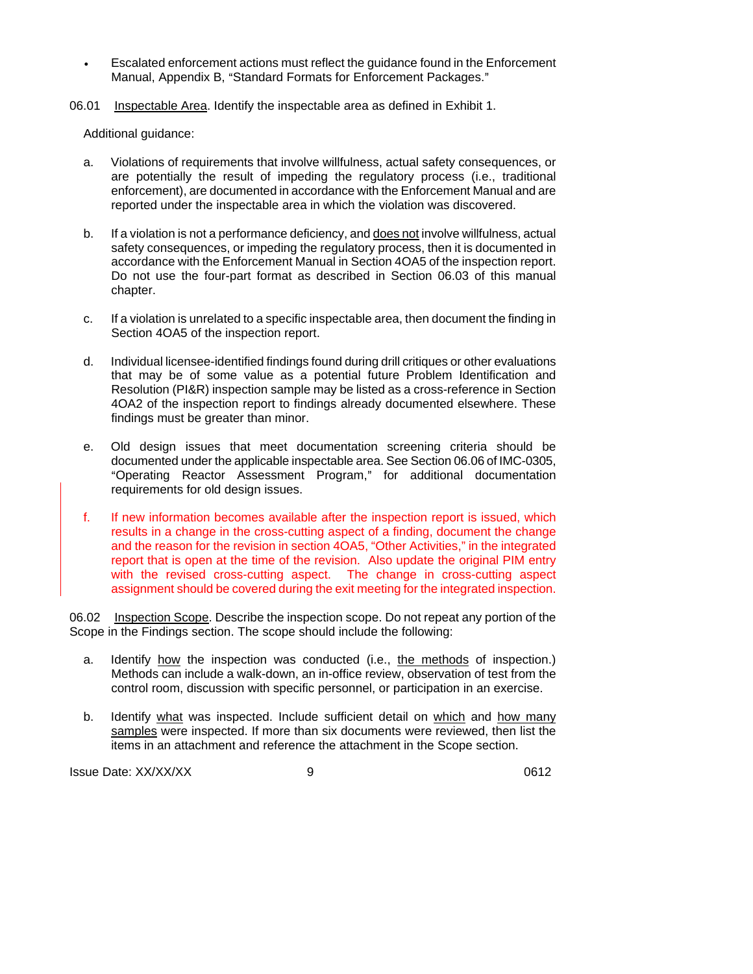- Escalated enforcement actions must reflect the guidance found in the Enforcement Manual, Appendix B, "Standard Formats for Enforcement Packages."
- 06.01 Inspectable Area. Identify the inspectable area as defined in Exhibit 1.

Additional guidance:

- a. Violations of requirements that involve willfulness, actual safety consequences, or are potentially the result of impeding the regulatory process (i.e., traditional enforcement), are documented in accordance with the Enforcement Manual and are reported under the inspectable area in which the violation was discovered.
- b. If a violation is not a performance deficiency, and does not involve willfulness, actual safety consequences, or impeding the regulatory process, then it is documented in accordance with the Enforcement Manual in Section 4OA5 of the inspection report. Do not use the four-part format as described in Section 06.03 of this manual chapter.
- c. If a violation is unrelated to a specific inspectable area, then document the finding in Section 4OA5 of the inspection report.
- d. Individual licensee-identified findings found during drill critiques or other evaluations that may be of some value as a potential future Problem Identification and Resolution (PI&R) inspection sample may be listed as a cross-reference in Section 4OA2 of the inspection report to findings already documented elsewhere. These findings must be greater than minor.
- e. Old design issues that meet documentation screening criteria should be documented under the applicable inspectable area. See Section 06.06 of IMC-0305, "Operating Reactor Assessment Program," for additional documentation requirements for old design issues.
- f. If new information becomes available after the inspection report is issued, which results in a change in the cross-cutting aspect of a finding, document the change and the reason for the revision in section 4OA5, "Other Activities," in the integrated report that is open at the time of the revision. Also update the original PIM entry with the revised cross-cutting aspect. The change in cross-cutting aspect assignment should be covered during the exit meeting for the integrated inspection.

06.02 Inspection Scope. Describe the inspection scope. Do not repeat any portion of the Scope in the Findings section. The scope should include the following:

- a. Identify how the inspection was conducted (i.e., the methods of inspection.) Methods can include a walk-down, an in-office review, observation of test from the control room, discussion with specific personnel, or participation in an exercise.
- b. Identify what was inspected. Include sufficient detail on which and how many samples were inspected. If more than six documents were reviewed, then list the items in an attachment and reference the attachment in the Scope section.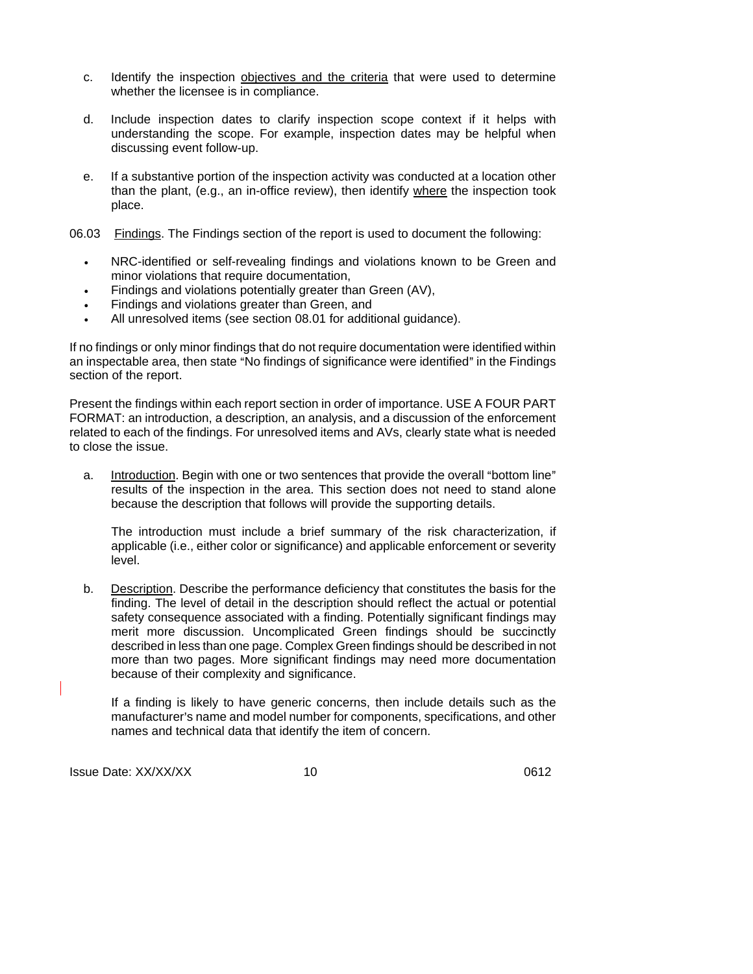- c. Identify the inspection objectives and the criteria that were used to determine whether the licensee is in compliance.
- d. Include inspection dates to clarify inspection scope context if it helps with understanding the scope. For example, inspection dates may be helpful when discussing event follow-up.
- e. If a substantive portion of the inspection activity was conducted at a location other than the plant, (e.g., an in-office review), then identify where the inspection took place.

06.03 Findings. The Findings section of the report is used to document the following:

- NRC-identified or self-revealing findings and violations known to be Green and minor violations that require documentation.
- Findings and violations potentially greater than Green (AV),
- Findings and violations greater than Green, and
- All unresolved items (see section 08.01 for additional guidance).

If no findings or only minor findings that do not require documentation were identified within an inspectable area, then state "No findings of significance were identified" in the Findings section of the report.

Present the findings within each report section in order of importance. USE A FOUR PART FORMAT: an introduction, a description, an analysis, and a discussion of the enforcement related to each of the findings. For unresolved items and AVs, clearly state what is needed to close the issue.

a. Introduction. Begin with one or two sentences that provide the overall "bottom line" results of the inspection in the area. This section does not need to stand alone because the description that follows will provide the supporting details.

The introduction must include a brief summary of the risk characterization, if applicable (i.e., either color or significance) and applicable enforcement or severity level.

b. Description. Describe the performance deficiency that constitutes the basis for the finding. The level of detail in the description should reflect the actual or potential safety consequence associated with a finding. Potentially significant findings may merit more discussion. Uncomplicated Green findings should be succinctly described in less than one page. Complex Green findings should be described in not more than two pages. More significant findings may need more documentation because of their complexity and significance.

If a finding is likely to have generic concerns, then include details such as the manufacturer's name and model number for components, specifications, and other names and technical data that identify the item of concern.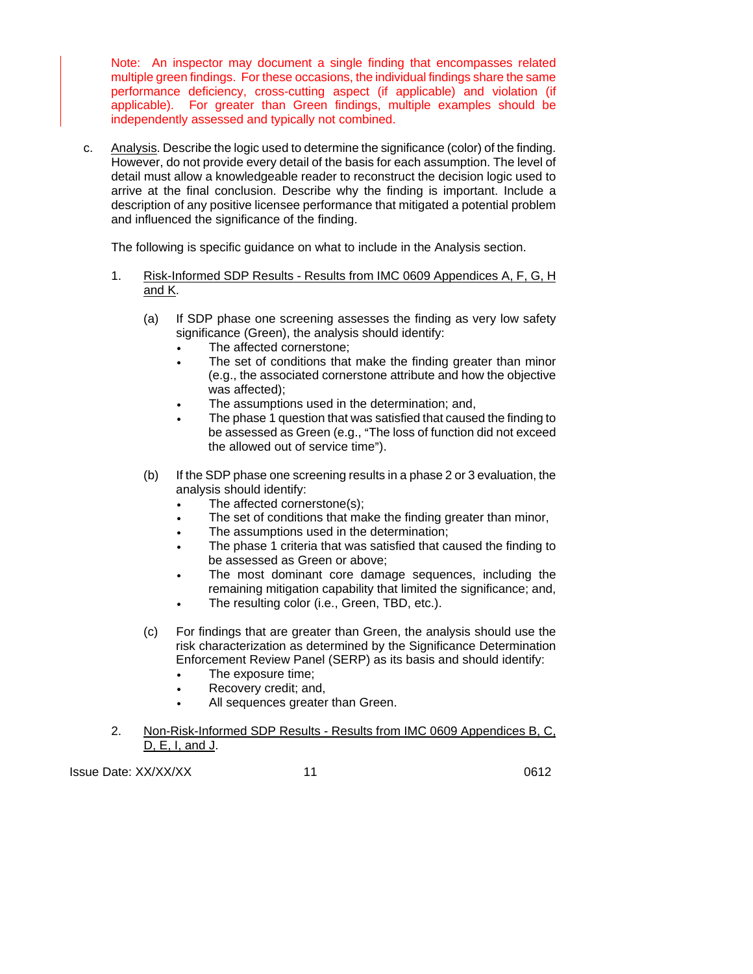Note: An inspector may document a single finding that encompasses related multiple green findings. For these occasions, the individual findings share the same performance deficiency, cross-cutting aspect (if applicable) and violation (if applicable). For greater than Green findings, multiple examples should be independently assessed and typically not combined.

c. Analysis. Describe the logic used to determine the significance (color) of the finding. However, do not provide every detail of the basis for each assumption. The level of detail must allow a knowledgeable reader to reconstruct the decision logic used to arrive at the final conclusion. Describe why the finding is important. Include a description of any positive licensee performance that mitigated a potential problem and influenced the significance of the finding.

The following is specific guidance on what to include in the Analysis section.

- 1. Risk-Informed SDP Results Results from IMC 0609 Appendices A, F, G, H and K.
	- (a) If SDP phase one screening assesses the finding as very low safety significance (Green), the analysis should identify:
		- The affected cornerstone:
		- The set of conditions that make the finding greater than minor (e.g., the associated cornerstone attribute and how the objective was affected);
		- The assumptions used in the determination; and,
		- The phase 1 question that was satisfied that caused the finding to be assessed as Green (e.g., "The loss of function did not exceed the allowed out of service time").
	- (b) If the SDP phase one screening results in a phase 2 or 3 evaluation, the analysis should identify:
		- The affected cornerstone(s);
		- The set of conditions that make the finding greater than minor,
		- The assumptions used in the determination;
		- The phase 1 criteria that was satisfied that caused the finding to be assessed as Green or above;
		- The most dominant core damage sequences, including the remaining mitigation capability that limited the significance; and,
		- The resulting color (i.e., Green, TBD, etc.).
	- (c) For findings that are greater than Green, the analysis should use the risk characterization as determined by the Significance Determination Enforcement Review Panel (SERP) as its basis and should identify:
		- The exposure time;
		- Recovery credit; and,
		- All sequences greater than Green.
- 2. Non-Risk-Informed SDP Results Results from IMC 0609 Appendices B, C, D, E, I, and J.

Issue Date: XX/XX/XX 11 11 165 12 11 165 12 11 165 12 11 12 12 13 14 15 16 17 17 18 18 19 19 19 19 1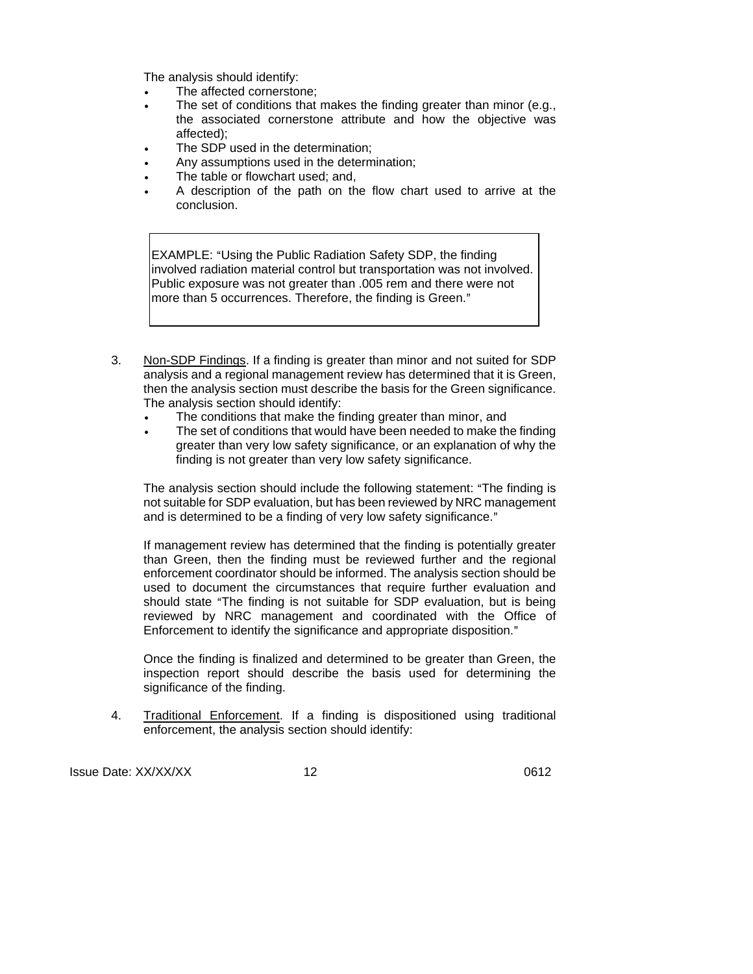The analysis should identify:

- The affected cornerstone;
- The set of conditions that makes the finding greater than minor (e.g., the associated cornerstone attribute and how the objective was affected);
- The SDP used in the determination;
- Any assumptions used in the determination;
- The table or flowchart used; and,
- A description of the path on the flow chart used to arrive at the conclusion.

EXAMPLE: "Using the Public Radiation Safety SDP, the finding involved radiation material control but transportation was not involved. Public exposure was not greater than .005 rem and there were not more than 5 occurrences. Therefore, the finding is Green."

- 3. Non-SDP Findings. If a finding is greater than minor and not suited for SDP analysis and a regional management review has determined that it is Green, then the analysis section must describe the basis for the Green significance. The analysis section should identify:
	- The conditions that make the finding greater than minor, and
	- The set of conditions that would have been needed to make the finding greater than very low safety significance, or an explanation of why the finding is not greater than very low safety significance.

The analysis section should include the following statement: "The finding is not suitable for SDP evaluation, but has been reviewed by NRC management and is determined to be a finding of very low safety significance."

If management review has determined that the finding is potentially greater than Green, then the finding must be reviewed further and the regional enforcement coordinator should be informed. The analysis section should be used to document the circumstances that require further evaluation and should state "The finding is not suitable for SDP evaluation, but is being reviewed by NRC management and coordinated with the Office of Enforcement to identify the significance and appropriate disposition."

Once the finding is finalized and determined to be greater than Green, the inspection report should describe the basis used for determining the significance of the finding.

4. Traditional Enforcement. If a finding is dispositioned using traditional enforcement, the analysis section should identify:

Issue Date: XX/XX/XX 12 12 12 1612 1612 1612 1614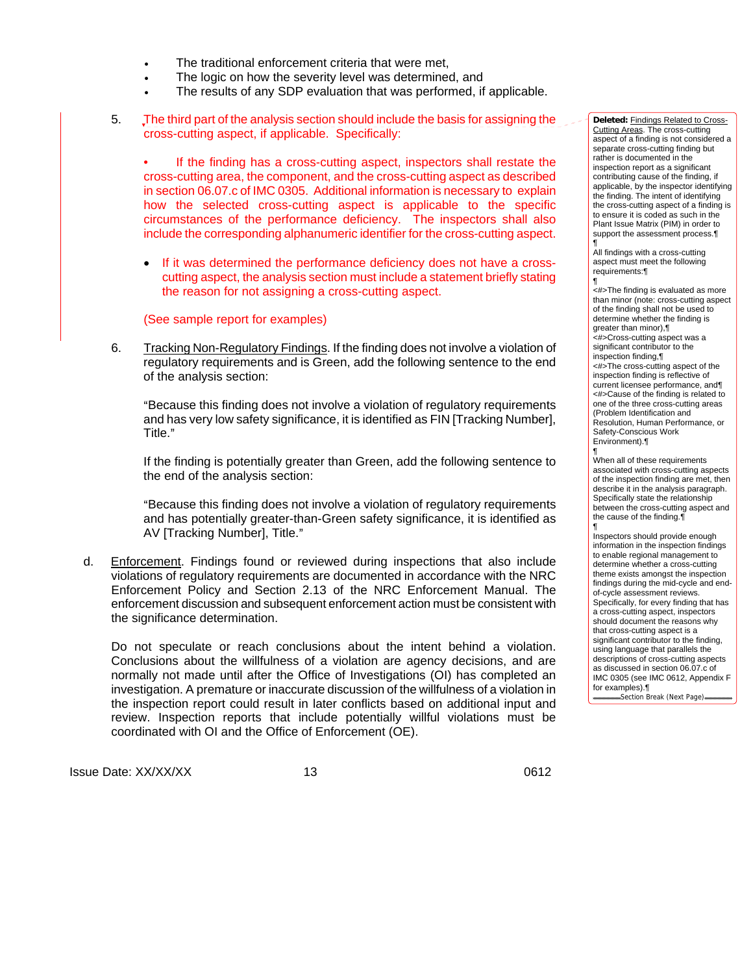- The traditional enforcement criteria that were met.
- The logic on how the severity level was determined, and
- The results of any SDP evaluation that was performed, if applicable.
- 5. The third part of the analysis section should include the basis for assigning the cross-cutting aspect, if applicable. Specifically:

If the finding has a cross-cutting aspect, inspectors shall restate the cross-cutting area, the component, and the cross-cutting aspect as described in section 06.07.c of IMC 0305. Additional information is necessary to explain how the selected cross-cutting aspect is applicable to the specific circumstances of the performance deficiency. The inspectors shall also include the corresponding alphanumeric identifier for the cross-cutting aspect.

• If it was determined the performance deficiency does not have a crosscutting aspect, the analysis section must include a statement briefly stating the reason for not assigning a cross-cutting aspect.

(See sample report for examples)

6. Tracking Non-Regulatory Findings. If the finding does not involve a violation of regulatory requirements and is Green, add the following sentence to the end of the analysis section:

ABecause this finding does not involve a violation of regulatory requirements and has very low safety significance, it is identified as FIN [Tracking Number], Title."

If the finding is potentially greater than Green, add the following sentence to the end of the analysis section:

ABecause this finding does not involve a violation of regulatory requirements and has potentially greater-than-Green safety significance, it is identified as AV [Tracking Number], Title."

d. Enforcement. Findings found or reviewed during inspections that also include violations of regulatory requirements are documented in accordance with the NRC Enforcement Policy and Section 2.13 of the NRC Enforcement Manual. The enforcement discussion and subsequent enforcement action must be consistent with the significance determination.

Do not speculate or reach conclusions about the intent behind a violation. Conclusions about the willfulness of a violation are agency decisions, and are normally not made until after the Office of Investigations (OI) has completed an investigation. A premature or inaccurate discussion of the willfulness of a violation in the inspection report could result in later conflicts based on additional input and review. Inspection reports that include potentially willful violations must be coordinated with OI and the Office of Enforcement (OE).

Issue Date: XX/XX/XX 13 13

**Deleted:** Findings Related to Cross-Cutting Areas. The cross-cutting aspect of a finding is not considered a separate cross-cutting finding but rather is documented in the inspection report as a significant contributing cause of the finding, if applicable, by the inspector identifying the finding. The intent of identifying the cross-cutting aspect of a finding is to ensure it is coded as such in the Plant Issue Matrix (PIM) in order to support the assessment process. ¶

All findings with a cross-cutting aspect must meet the following requirements:¶ ¶

<#>The finding is evaluated as more than minor (note: cross-cutting aspect of the finding shall not be used to determine whether the finding is greater than minor),¶ <#>Cross-cutting aspect was a significant contributor to the inspection finding,¶ <#>The cross-cutting aspect of the inspection finding is reflective of current licensee performance, and¶ <#>Cause of the finding is related to one of the three cross-cutting areas (Problem Identification and Resolution, Human Performance, or Safety-Conscious Work Environment).¶

¶ When all of these requirements associated with cross-cutting aspects of the inspection finding are met, then describe it in the analysis paragraph. Specifically state the relationship between the cross-cutting aspect and the cause of the finding.¶ ¶

Inspectors should provide enough information in the inspection findings to enable regional management to determine whether a cross-cutting theme exists amongst the inspection findings during the mid-cycle and endof-cycle assessment reviews. Specifically, for every finding that has a cross-cutting aspect, inspectors should document the reasons why that cross-cutting aspect is a significant contributor to the finding, using language that parallels the descriptions of cross-cutting aspects as discussed in section 06.07.c of IMC 0305 (see IMC 0612, Appendix F for examples).¶ Section Break (Next Page)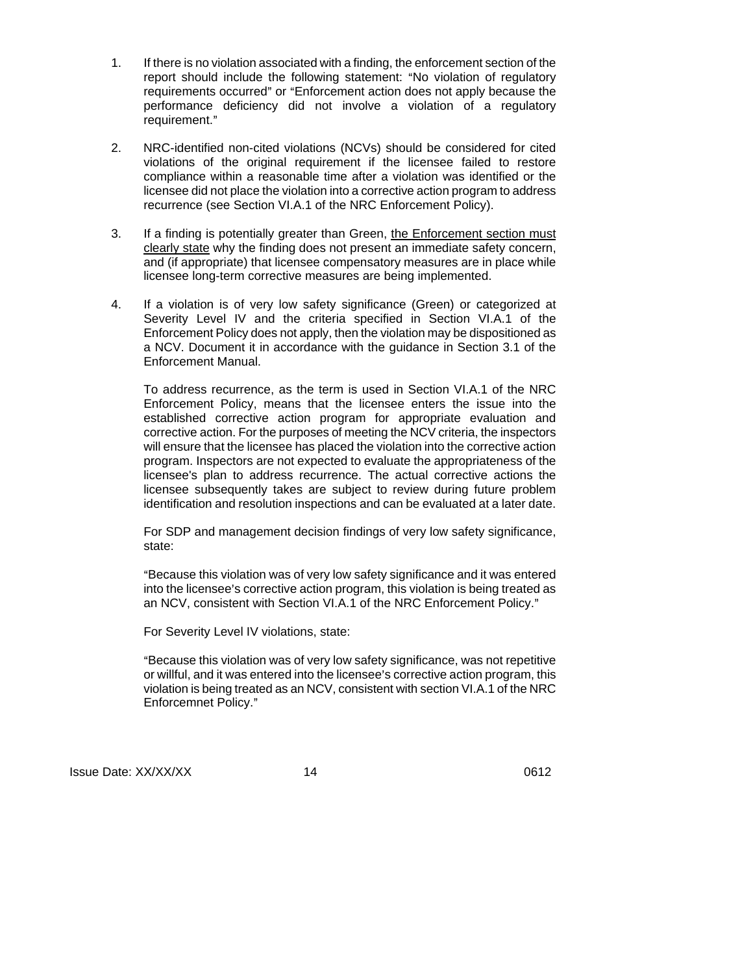- 1. If there is no violation associated with a finding, the enforcement section of the report should include the following statement: "No violation of regulatory requirements occurred" or "Enforcement action does not apply because the performance deficiency did not involve a violation of a regulatory requirement."
- 2. NRC-identified non-cited violations (NCVs) should be considered for cited violations of the original requirement if the licensee failed to restore compliance within a reasonable time after a violation was identified or the licensee did not place the violation into a corrective action program to address recurrence (see Section VI.A.1 of the NRC Enforcement Policy).
- 3. If a finding is potentially greater than Green, the Enforcement section must clearly state why the finding does not present an immediate safety concern, and (if appropriate) that licensee compensatory measures are in place while licensee long-term corrective measures are being implemented.
- 4. If a violation is of very low safety significance (Green) or categorized at Severity Level IV and the criteria specified in Section VI.A.1 of the Enforcement Policy does not apply, then the violation may be dispositioned as a NCV. Document it in accordance with the guidance in Section 3.1 of the Enforcement Manual.

To address recurrence, as the term is used in Section VI.A.1 of the NRC Enforcement Policy, means that the licensee enters the issue into the established corrective action program for appropriate evaluation and corrective action. For the purposes of meeting the NCV criteria, the inspectors will ensure that the licensee has placed the violation into the corrective action program. Inspectors are not expected to evaluate the appropriateness of the licensee's plan to address recurrence. The actual corrective actions the licensee subsequently takes are subject to review during future problem identification and resolution inspections and can be evaluated at a later date.

For SDP and management decision findings of very low safety significance, state:

"Because this violation was of very low safety significance and it was entered into the licensee's corrective action program, this violation is being treated as an NCV, consistent with Section VI.A.1 of the NRC Enforcement Policy."

For Severity Level IV violations, state:

"Because this violation was of very low safety significance, was not repetitive or willful, and it was entered into the licensee's corrective action program, this violation is being treated as an NCV, consistent with section VI.A.1 of the NRC Enforcemnet Policy."

Issue Date: XX/XX/XX 14 14 16 1612 16612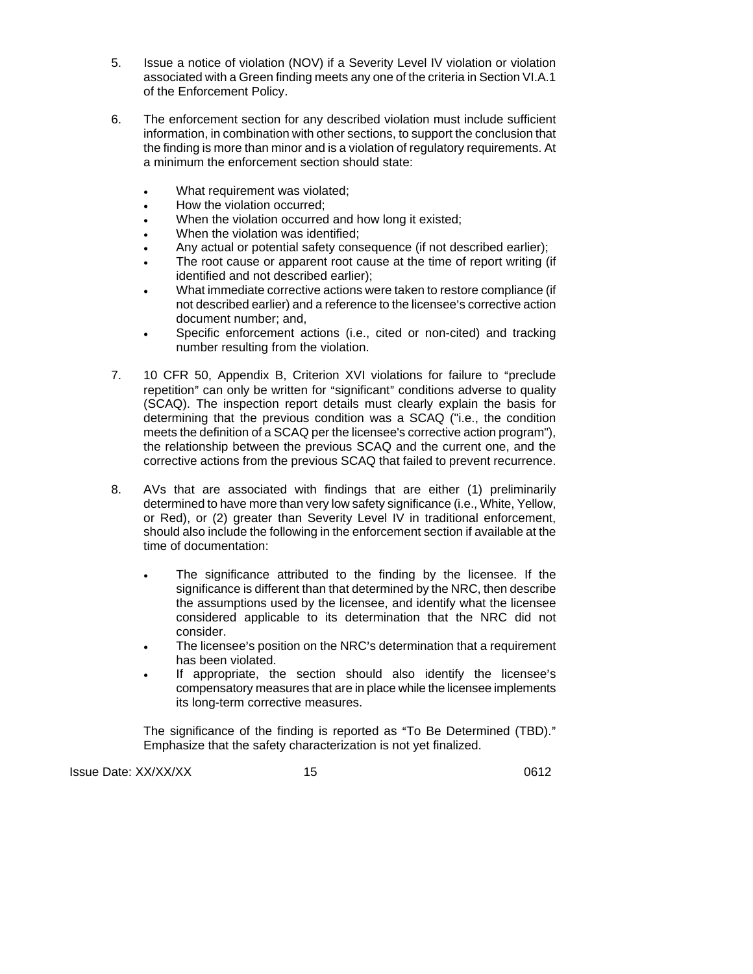- 5. Issue a notice of violation (NOV) if a Severity Level IV violation or violation associated with a Green finding meets any one of the criteria in Section VI.A.1 of the Enforcement Policy.
- 6. The enforcement section for any described violation must include sufficient information, in combination with other sections, to support the conclusion that the finding is more than minor and is a violation of regulatory requirements. At a minimum the enforcement section should state:
	- What requirement was violated;
	- How the violation occurred;
	- When the violation occurred and how long it existed;
	- When the violation was identified;
	- Any actual or potential safety consequence (if not described earlier);
	- The root cause or apparent root cause at the time of report writing (if identified and not described earlier);
	- What immediate corrective actions were taken to restore compliance (if not described earlier) and a reference to the licensee's corrective action document number; and,
	- Specific enforcement actions (i.e., cited or non-cited) and tracking number resulting from the violation.
- 7. 10 CFR 50, Appendix B, Criterion XVI violations for failure to "preclude" repetition" can only be written for "significant" conditions adverse to quality (SCAQ). The inspection report details must clearly explain the basis for determining that the previous condition was a SCAQ ("i.e., the condition meets the definition of a SCAQ per the licensee's corrective action program"), the relationship between the previous SCAQ and the current one, and the corrective actions from the previous SCAQ that failed to prevent recurrence.
- 8. AVs that are associated with findings that are either (1) preliminarily determined to have more than very low safety significance (i.e., White, Yellow, or Red), or (2) greater than Severity Level IV in traditional enforcement, should also include the following in the enforcement section if available at the time of documentation:
	- The significance attributed to the finding by the licensee. If the significance is different than that determined by the NRC, then describe the assumptions used by the licensee, and identify what the licensee considered applicable to its determination that the NRC did not consider.
	- The licensee's position on the NRC's determination that a requirement has been violated.
	- If appropriate, the section should also identify the licensee's compensatory measures that are in place while the licensee implements its long-term corrective measures.

The significance of the finding is reported as "To Be Determined (TBD)." Emphasize that the safety characterization is not yet finalized.

Issue Date: XX/XX/XX 15 15 1612 1612 1612 1614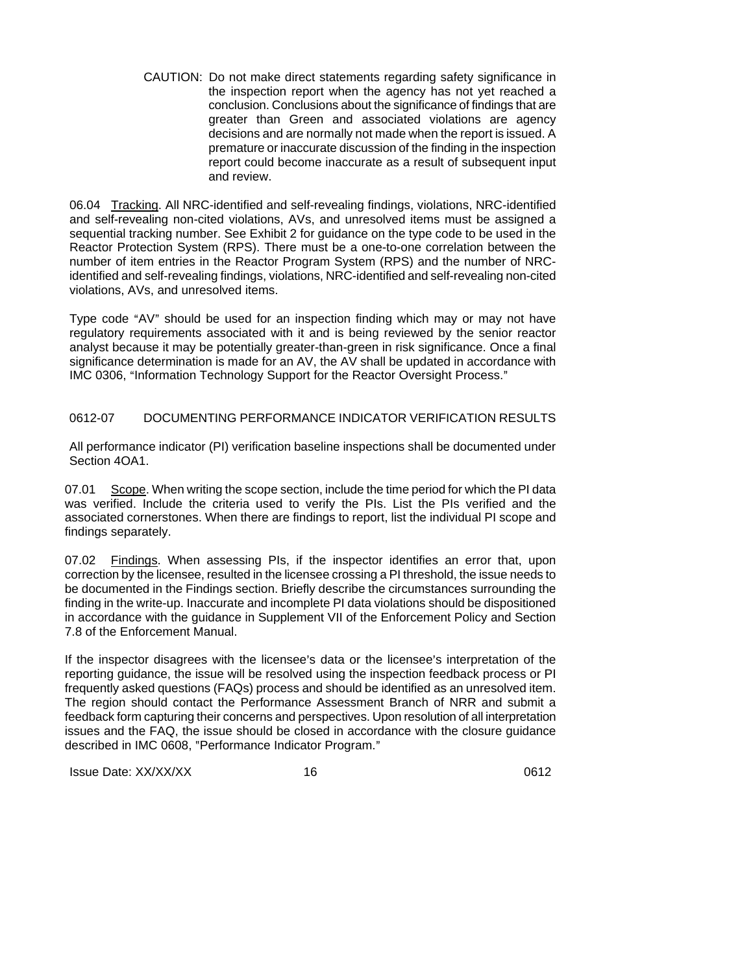CAUTION: Do not make direct statements regarding safety significance in the inspection report when the agency has not yet reached a conclusion. Conclusions about the significance of findings that are greater than Green and associated violations are agency decisions and are normally not made when the report is issued. A premature or inaccurate discussion of the finding in the inspection report could become inaccurate as a result of subsequent input and review.

06.04 Tracking. All NRC-identified and self-revealing findings, violations, NRC-identified and self-revealing non-cited violations, AVs, and unresolved items must be assigned a sequential tracking number. See Exhibit 2 for guidance on the type code to be used in the Reactor Protection System (RPS). There must be a one-to-one correlation between the number of item entries in the Reactor Program System (RPS) and the number of NRCidentified and self-revealing findings, violations, NRC-identified and self-revealing non-cited violations, AVs, and unresolved items.

Type code "AV" should be used for an inspection finding which may or may not have regulatory requirements associated with it and is being reviewed by the senior reactor analyst because it may be potentially greater-than-green in risk significance. Once a final significance determination is made for an AV, the AV shall be updated in accordance with IMC 0306, "Information Technology Support for the Reactor Oversight Process."

## 0612-07 DOCUMENTING PERFORMANCE INDICATOR VERIFICATION RESULTS

All performance indicator (PI) verification baseline inspections shall be documented under Section 4OA1.

07.01 Scope. When writing the scope section, include the time period for which the PI data was verified. Include the criteria used to verify the PIs. List the PIs verified and the associated cornerstones. When there are findings to report, list the individual PI scope and findings separately.

07.02 Findings. When assessing PIs, if the inspector identifies an error that, upon correction by the licensee, resulted in the licensee crossing a PI threshold, the issue needs to be documented in the Findings section. Briefly describe the circumstances surrounding the finding in the write-up. Inaccurate and incomplete PI data violations should be dispositioned in accordance with the guidance in Supplement VII of the Enforcement Policy and Section 7.8 of the Enforcement Manual.

If the inspector disagrees with the licensee's data or the licensee's interpretation of the reporting guidance, the issue will be resolved using the inspection feedback process or PI frequently asked questions (FAQs) process and should be identified as an unresolved item. The region should contact the Performance Assessment Branch of NRR and submit a feedback form capturing their concerns and perspectives. Upon resolution of all interpretation issues and the FAQ, the issue should be closed in accordance with the closure guidance described in IMC 0608, "Performance Indicator Program."

Issue Date: XX/XX/XX 16 16 16 16 16 16 16 16 17 17 18 18 19 19 19 19 19 19 10 11 11 11 11 11 11 11 11 11 11 11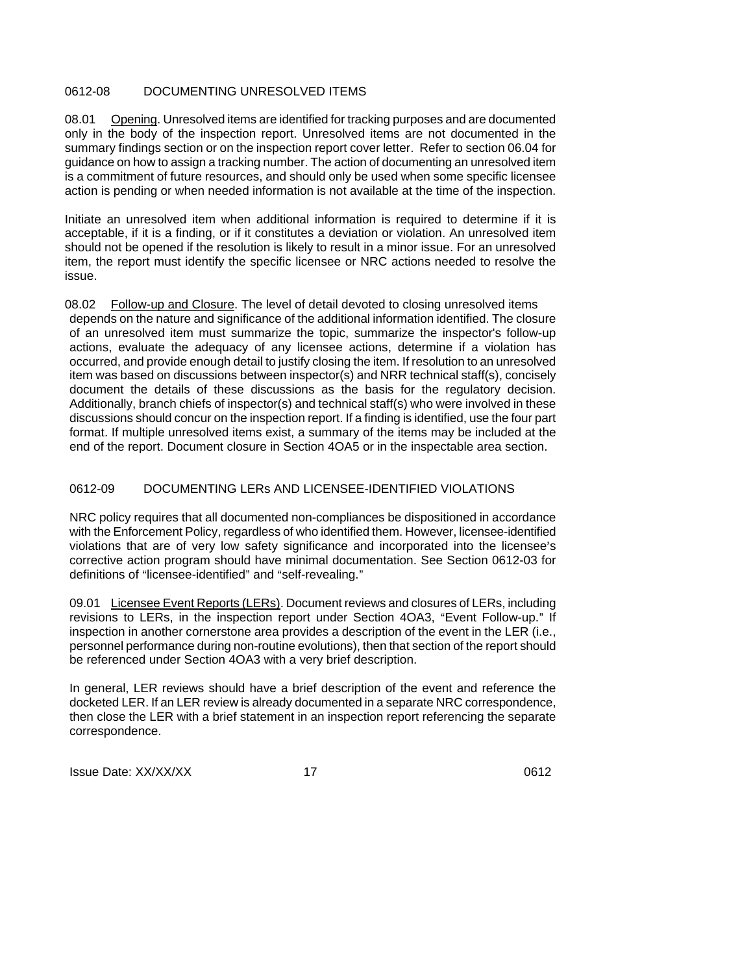## 0612-08 DOCUMENTING UNRESOLVED ITEMS

08.01 Opening. Unresolved items are identified for tracking purposes and are documented only in the body of the inspection report. Unresolved items are not documented in the summary findings section or on the inspection report cover letter. Refer to section 06.04 for guidance on how to assign a tracking number. The action of documenting an unresolved item is a commitment of future resources, and should only be used when some specific licensee action is pending or when needed information is not available at the time of the inspection.

Initiate an unresolved item when additional information is required to determine if it is acceptable, if it is a finding, or if it constitutes a deviation or violation. An unresolved item should not be opened if the resolution is likely to result in a minor issue. For an unresolved item, the report must identify the specific licensee or NRC actions needed to resolve the issue.

08.02 Follow-up and Closure. The level of detail devoted to closing unresolved items depends on the nature and significance of the additional information identified. The closure of an unresolved item must summarize the topic, summarize the inspector's follow-up actions, evaluate the adequacy of any licensee actions, determine if a violation has occurred, and provide enough detail to justify closing the item. If resolution to an unresolved item was based on discussions between inspector(s) and NRR technical staff(s), concisely document the details of these discussions as the basis for the regulatory decision. Additionally, branch chiefs of inspector(s) and technical staff(s) who were involved in these discussions should concur on the inspection report. If a finding is identified, use the four part format. If multiple unresolved items exist, a summary of the items may be included at the end of the report. Document closure in Section 4OA5 or in the inspectable area section.

## 0612-09 DOCUMENTING LERs AND LICENSEE-IDENTIFIED VIOLATIONS

NRC policy requires that all documented non-compliances be dispositioned in accordance with the Enforcement Policy, regardless of who identified them. However, licensee-identified violations that are of very low safety significance and incorporated into the licensee's corrective action program should have minimal documentation. See Section 0612-03 for definitions of "licensee-identified" and "self-revealing."

09.01 Licensee Event Reports (LERs). Document reviews and closures of LERs, including revisions to LERs, in the inspection report under Section 4OA3, "Event Follow-up." If inspection in another cornerstone area provides a description of the event in the LER (i.e., personnel performance during non-routine evolutions), then that section of the report should be referenced under Section 4OA3 with a very brief description.

In general, LER reviews should have a brief description of the event and reference the docketed LER. If an LER review is already documented in a separate NRC correspondence, then close the LER with a brief statement in an inspection report referencing the separate correspondence.

Issue Date: XX/XX/XX 17 17 17 1612 17 17 16612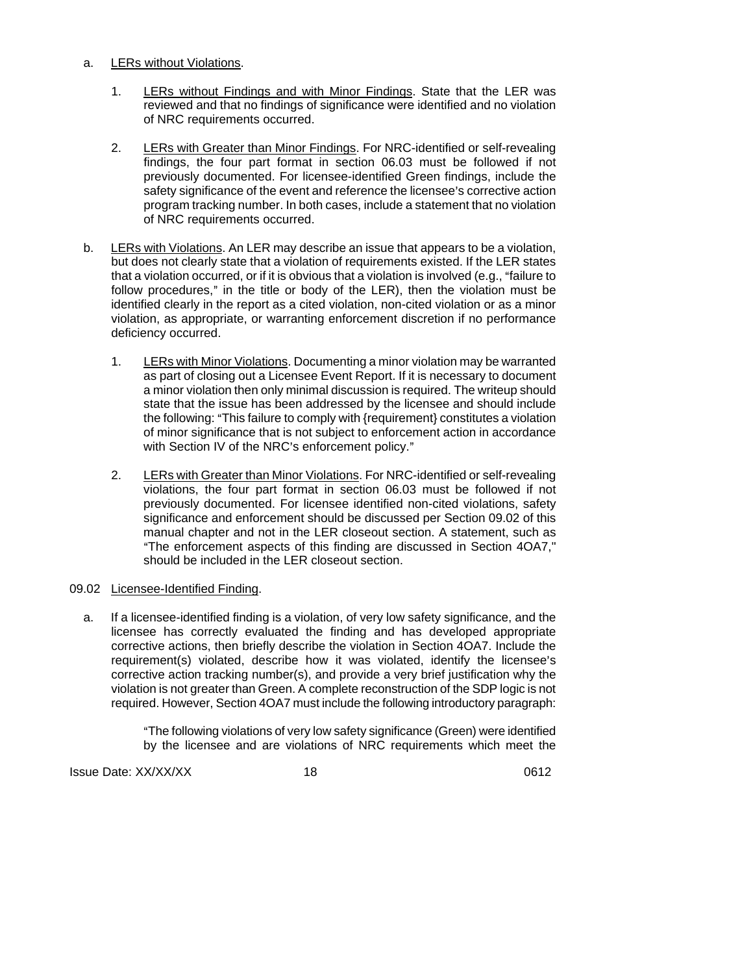## a. LERs without Violations.

- 1. LERs without Findings and with Minor Findings. State that the LER was reviewed and that no findings of significance were identified and no violation of NRC requirements occurred.
- 2. LERs with Greater than Minor Findings. For NRC-identified or self-revealing findings, the four part format in section 06.03 must be followed if not previously documented. For licensee-identified Green findings, include the safety significance of the event and reference the licensee's corrective action program tracking number. In both cases, include a statement that no violation of NRC requirements occurred.
- b. LERs with Violations. An LER may describe an issue that appears to be a violation, but does not clearly state that a violation of requirements existed. If the LER states that a violation occurred, or if it is obvious that a violation is involved (e.g., "failure to follow procedures," in the title or body of the LER), then the violation must be identified clearly in the report as a cited violation, non-cited violation or as a minor violation, as appropriate, or warranting enforcement discretion if no performance deficiency occurred.
	- 1. LERs with Minor Violations. Documenting a minor violation may be warranted as part of closing out a Licensee Event Report. If it is necessary to document a minor violation then only minimal discussion is required. The writeup should state that the issue has been addressed by the licensee and should include the following: "This failure to comply with {requirement} constitutes a violation of minor significance that is not subject to enforcement action in accordance with Section IV of the NRC's enforcement policy."
	- 2. LERs with Greater than Minor Violations. For NRC-identified or self-revealing violations, the four part format in section 06.03 must be followed if not previously documented. For licensee identified non-cited violations, safety significance and enforcement should be discussed per Section 09.02 of this manual chapter and not in the LER closeout section. A statement, such as "The enforcement aspects of this finding are discussed in Section 4OA7," should be included in the LER closeout section.

## 09.02 Licensee-Identified Finding.

a. If a licensee-identified finding is a violation, of very low safety significance, and the licensee has correctly evaluated the finding and has developed appropriate corrective actions, then briefly describe the violation in Section 4OA7. Include the requirement(s) violated, describe how it was violated, identify the licensee's corrective action tracking number(s), and provide a very brief justification why the violation is not greater than Green. A complete reconstruction of the SDP logic is not required. However, Section 4OA7 must include the following introductory paragraph:

> "The following violations of very low safety significance (Green) were identified by the licensee and are violations of NRC requirements which meet the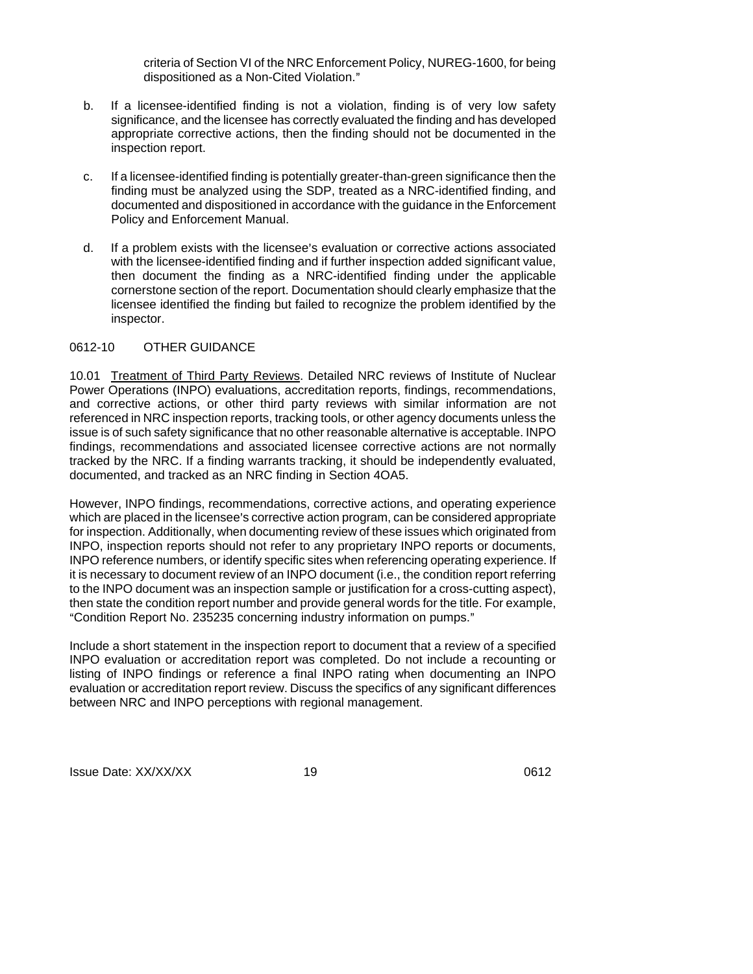criteria of Section VI of the NRC Enforcement Policy, NUREG-1600, for being dispositioned as a Non-Cited Violation."

- b. If a licensee-identified finding is not a violation, finding is of very low safety significance, and the licensee has correctly evaluated the finding and has developed appropriate corrective actions, then the finding should not be documented in the inspection report.
- c. If a licensee-identified finding is potentially greater-than-green significance then the finding must be analyzed using the SDP, treated as a NRC-identified finding, and documented and dispositioned in accordance with the guidance in the Enforcement Policy and Enforcement Manual.
- d. If a problem exists with the licensee's evaluation or corrective actions associated with the licensee-identified finding and if further inspection added significant value, then document the finding as a NRC-identified finding under the applicable cornerstone section of the report. Documentation should clearly emphasize that the licensee identified the finding but failed to recognize the problem identified by the inspector.

### 0612-10 OTHER GUIDANCE

10.01 Treatment of Third Party Reviews. Detailed NRC reviews of Institute of Nuclear Power Operations (INPO) evaluations, accreditation reports, findings, recommendations, and corrective actions, or other third party reviews with similar information are not referenced in NRC inspection reports, tracking tools, or other agency documents unless the issue is of such safety significance that no other reasonable alternative is acceptable. INPO findings, recommendations and associated licensee corrective actions are not normally tracked by the NRC. If a finding warrants tracking, it should be independently evaluated, documented, and tracked as an NRC finding in Section 4OA5.

However, INPO findings, recommendations, corrective actions, and operating experience which are placed in the licensee's corrective action program, can be considered appropriate for inspection. Additionally, when documenting review of these issues which originated from INPO, inspection reports should not refer to any proprietary INPO reports or documents, INPO reference numbers, or identify specific sites when referencing operating experience. If it is necessary to document review of an INPO document (i.e., the condition report referring to the INPO document was an inspection sample or justification for a cross-cutting aspect), then state the condition report number and provide general words for the title. For example, "Condition Report No. 235235 concerning industry information on pumps."

Include a short statement in the inspection report to document that a review of a specified INPO evaluation or accreditation report was completed. Do not include a recounting or listing of INPO findings or reference a final INPO rating when documenting an INPO evaluation or accreditation report review. Discuss the specifics of any significant differences between NRC and INPO perceptions with regional management.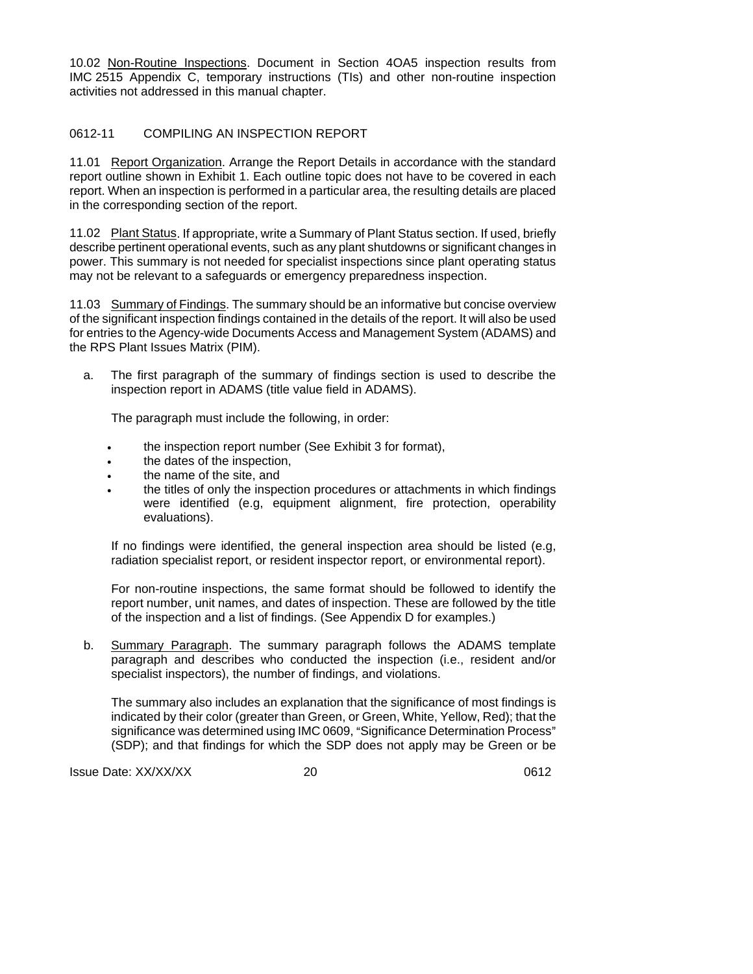10.02 Non-Routine Inspections. Document in Section 4OA5 inspection results from IMC 2515 Appendix C, temporary instructions (TIs) and other non-routine inspection activities not addressed in this manual chapter.

## 0612-11 COMPILING AN INSPECTION REPORT

11.01 Report Organization. Arrange the Report Details in accordance with the standard report outline shown in Exhibit 1. Each outline topic does not have to be covered in each report. When an inspection is performed in a particular area, the resulting details are placed in the corresponding section of the report.

11.02 Plant Status. If appropriate, write a Summary of Plant Status section. If used, briefly describe pertinent operational events, such as any plant shutdowns or significant changes in power. This summary is not needed for specialist inspections since plant operating status may not be relevant to a safeguards or emergency preparedness inspection.

11.03 Summary of Findings. The summary should be an informative but concise overview of the significant inspection findings contained in the details of the report. It will also be used for entries to the Agency-wide Documents Access and Management System (ADAMS) and the RPS Plant Issues Matrix (PIM).

a. The first paragraph of the summary of findings section is used to describe the inspection report in ADAMS (title value field in ADAMS).

The paragraph must include the following, in order:

- the inspection report number (See Exhibit 3 for format),
- the dates of the inspection,
- the name of the site, and
- the titles of only the inspection procedures or attachments in which findings were identified (e.g, equipment alignment, fire protection, operability evaluations).

If no findings were identified, the general inspection area should be listed (e.g, radiation specialist report, or resident inspector report, or environmental report).

For non-routine inspections, the same format should be followed to identify the report number, unit names, and dates of inspection. These are followed by the title of the inspection and a list of findings. (See Appendix D for examples.)

b. Summary Paragraph. The summary paragraph follows the ADAMS template paragraph and describes who conducted the inspection (i.e., resident and/or specialist inspectors), the number of findings, and violations.

The summary also includes an explanation that the significance of most findings is indicated by their color (greater than Green, or Green, White, Yellow, Red); that the significance was determined using IMC 0609, "Significance Determination Process" (SDP); and that findings for which the SDP does not apply may be Green or be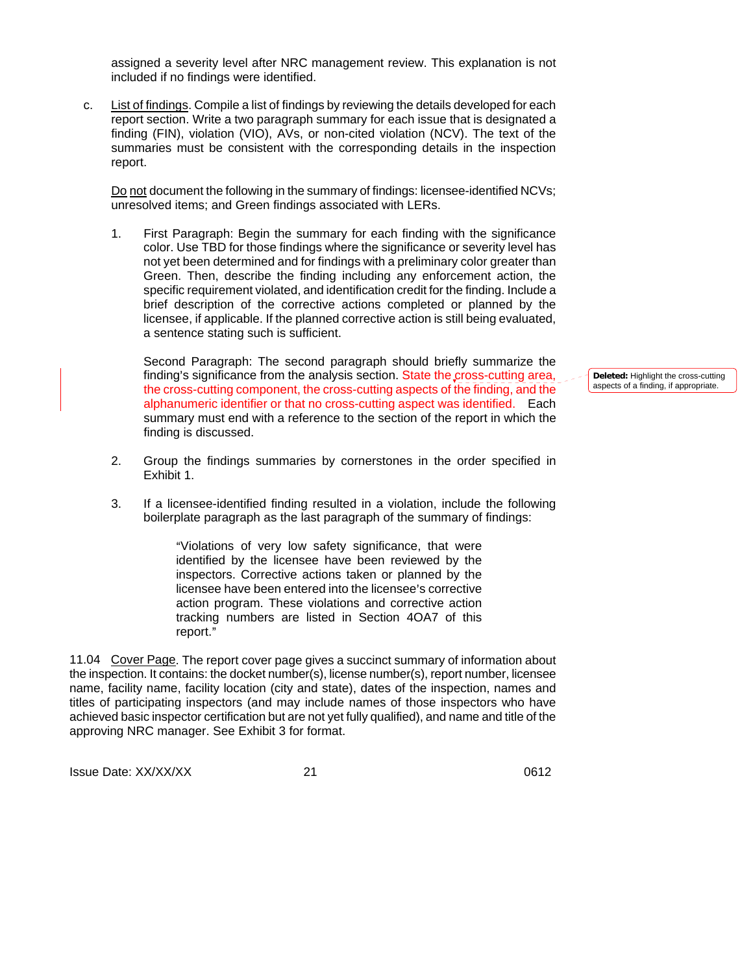assigned a severity level after NRC management review. This explanation is not included if no findings were identified.

c. List of findings. Compile a list of findings by reviewing the details developed for each report section. Write a two paragraph summary for each issue that is designated a finding (FIN), violation (VIO), AVs, or non-cited violation (NCV). The text of the summaries must be consistent with the corresponding details in the inspection report.

Do not document the following in the summary of findings: licensee-identified NCVs; unresolved items; and Green findings associated with LERs.

1. First Paragraph: Begin the summary for each finding with the significance color. Use TBD for those findings where the significance or severity level has not yet been determined and for findings with a preliminary color greater than Green. Then, describe the finding including any enforcement action, the specific requirement violated, and identification credit for the finding. Include a brief description of the corrective actions completed or planned by the licensee, if applicable. If the planned corrective action is still being evaluated, a sentence stating such is sufficient.

Second Paragraph: The second paragraph should briefly summarize the finding's significance from the analysis section. State the cross-cutting area, the cross-cutting component, the cross-cutting aspects of the finding, and the alphanumeric identifier or that no cross-cutting aspect was identified. Each summary must end with a reference to the section of the report in which the finding is discussed.

- 2. Group the findings summaries by cornerstones in the order specified in Exhibit 1.
- 3. If a licensee-identified finding resulted in a violation, include the following boilerplate paragraph as the last paragraph of the summary of findings:

"Violations of very low safety significance, that were identified by the licensee have been reviewed by the inspectors. Corrective actions taken or planned by the licensee have been entered into the licensee's corrective action program. These violations and corrective action tracking numbers are listed in Section 4OA7 of this report."

11.04 Cover Page. The report cover page gives a succinct summary of information about the inspection. It contains: the docket number(s), license number(s), report number, licensee name, facility name, facility location (city and state), dates of the inspection, names and titles of participating inspectors (and may include names of those inspectors who have achieved basic inspector certification but are not yet fully qualified), and name and title of the approving NRC manager. See Exhibit 3 for format.

Issue Date: XX/XX/XX 0612 21

**Deleted:** Highlight the cross-cutting aspects of a finding, if appropriate.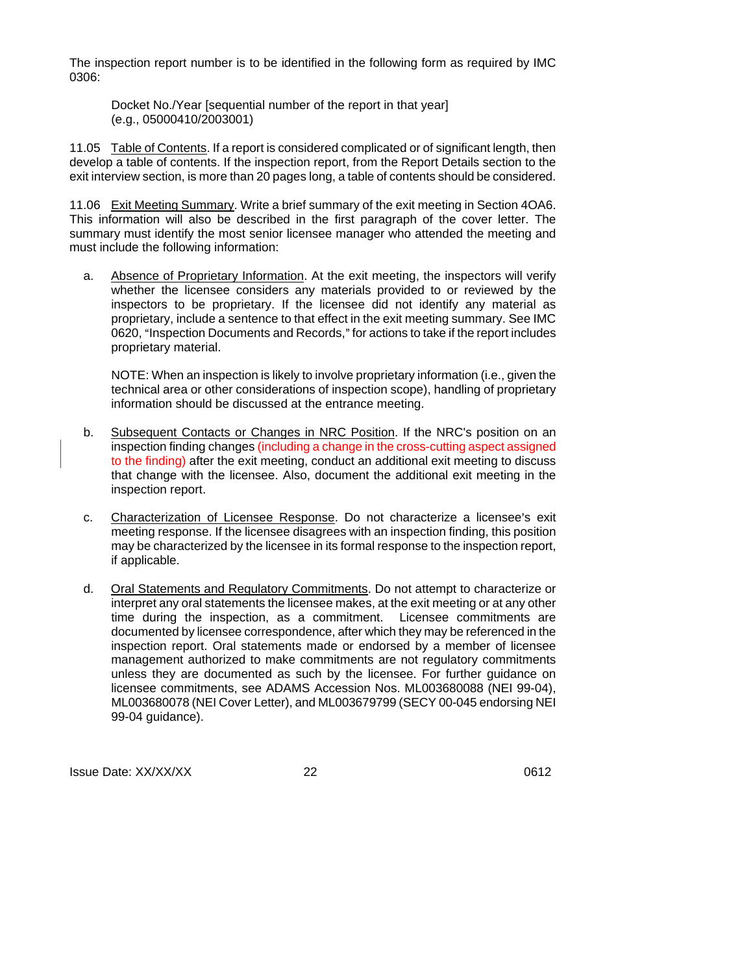The inspection report number is to be identified in the following form as required by IMC 0306:

Docket No./Year [sequential number of the report in that year] (e.g., 05000410/2003001)

11.05 Table of Contents. If a report is considered complicated or of significant length, then develop a table of contents. If the inspection report, from the Report Details section to the exit interview section, is more than 20 pages long, a table of contents should be considered.

11.06 Exit Meeting Summary. Write a brief summary of the exit meeting in Section 4OA6. This information will also be described in the first paragraph of the cover letter. The summary must identify the most senior licensee manager who attended the meeting and must include the following information:

a. Absence of Proprietary Information. At the exit meeting, the inspectors will verify whether the licensee considers any materials provided to or reviewed by the inspectors to be proprietary. If the licensee did not identify any material as proprietary, include a sentence to that effect in the exit meeting summary. See IMC 0620, "Inspection Documents and Records," for actions to take if the report includes proprietary material.

NOTE: When an inspection is likely to involve proprietary information (i.e., given the technical area or other considerations of inspection scope), handling of proprietary information should be discussed at the entrance meeting.

- b. Subsequent Contacts or Changes in NRC Position. If the NRC's position on an inspection finding changes (including a change in the cross-cutting aspect assigned to the finding) after the exit meeting, conduct an additional exit meeting to discuss that change with the licensee. Also, document the additional exit meeting in the inspection report.
- c. Characterization of Licensee Response. Do not characterize a licensee's exit meeting response. If the licensee disagrees with an inspection finding, this position may be characterized by the licensee in its formal response to the inspection report, if applicable.
- d. Oral Statements and Regulatory Commitments. Do not attempt to characterize or interpret any oral statements the licensee makes, at the exit meeting or at any other time during the inspection, as a commitment. Licensee commitments are documented by licensee correspondence, after which they may be referenced in the inspection report. Oral statements made or endorsed by a member of licensee management authorized to make commitments are not regulatory commitments unless they are documented as such by the licensee. For further guidance on licensee commitments, see ADAMS Accession Nos. ML003680088 (NEI 99-04), ML003680078 (NEI Cover Letter), and ML003679799 (SECY 00-045 endorsing NEI 99-04 guidance).

Issue Date: XX/XX/XX and the control of the 22 and 22 and 22 and 2012 and 22 and 2012 and 22 and 2012 and 2012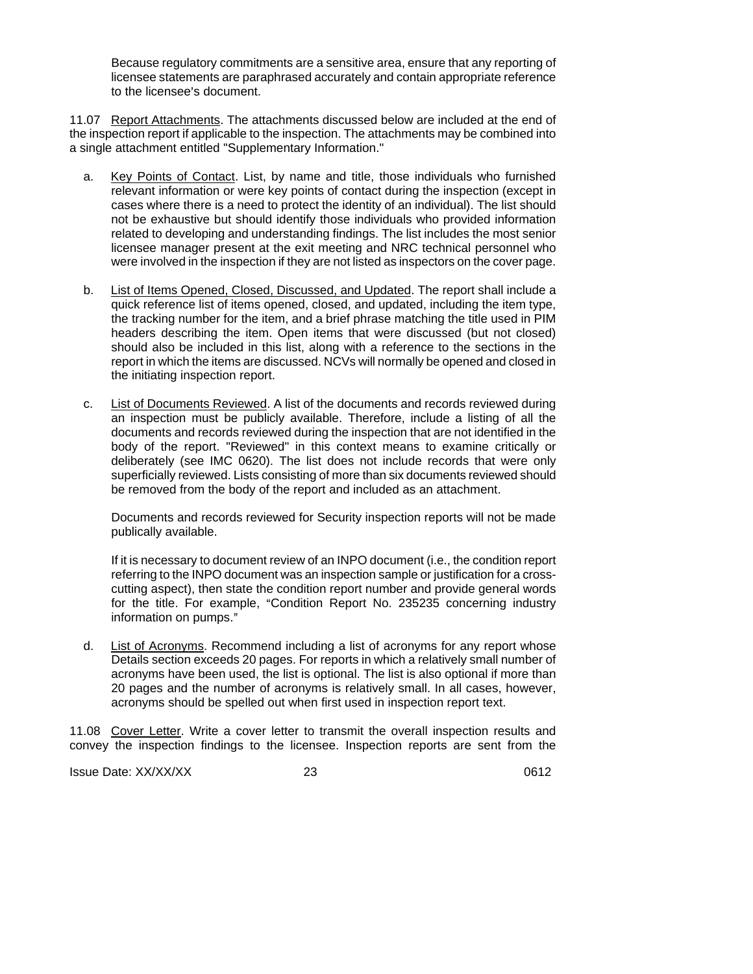Because regulatory commitments are a sensitive area, ensure that any reporting of licensee statements are paraphrased accurately and contain appropriate reference to the licensee's document.

11.07 Report Attachments. The attachments discussed below are included at the end of the inspection report if applicable to the inspection. The attachments may be combined into a single attachment entitled "Supplementary Information."

- a. Key Points of Contact. List, by name and title, those individuals who furnished relevant information or were key points of contact during the inspection (except in cases where there is a need to protect the identity of an individual). The list should not be exhaustive but should identify those individuals who provided information related to developing and understanding findings. The list includes the most senior licensee manager present at the exit meeting and NRC technical personnel who were involved in the inspection if they are not listed as inspectors on the cover page.
- b. List of Items Opened, Closed, Discussed, and Updated. The report shall include a quick reference list of items opened, closed, and updated, including the item type, the tracking number for the item, and a brief phrase matching the title used in PIM headers describing the item. Open items that were discussed (but not closed) should also be included in this list, along with a reference to the sections in the report in which the items are discussed. NCVs will normally be opened and closed in the initiating inspection report.
- c. List of Documents Reviewed. A list of the documents and records reviewed during an inspection must be publicly available. Therefore, include a listing of all the documents and records reviewed during the inspection that are not identified in the body of the report. "Reviewed" in this context means to examine critically or deliberately (see IMC 0620). The list does not include records that were only superficially reviewed. Lists consisting of more than six documents reviewed should be removed from the body of the report and included as an attachment.

Documents and records reviewed for Security inspection reports will not be made publically available.

If it is necessary to document review of an INPO document (i.e., the condition report referring to the INPO document was an inspection sample or justification for a crosscutting aspect), then state the condition report number and provide general words for the title. For example, "Condition Report No. 235235 concerning industry information on pumps."

d. List of Acronyms. Recommend including a list of acronyms for any report whose Details section exceeds 20 pages. For reports in which a relatively small number of acronyms have been used, the list is optional. The list is also optional if more than 20 pages and the number of acronyms is relatively small. In all cases, however, acronyms should be spelled out when first used in inspection report text.

11.08 Cover Letter. Write a cover letter to transmit the overall inspection results and convey the inspection findings to the licensee. Inspection reports are sent from the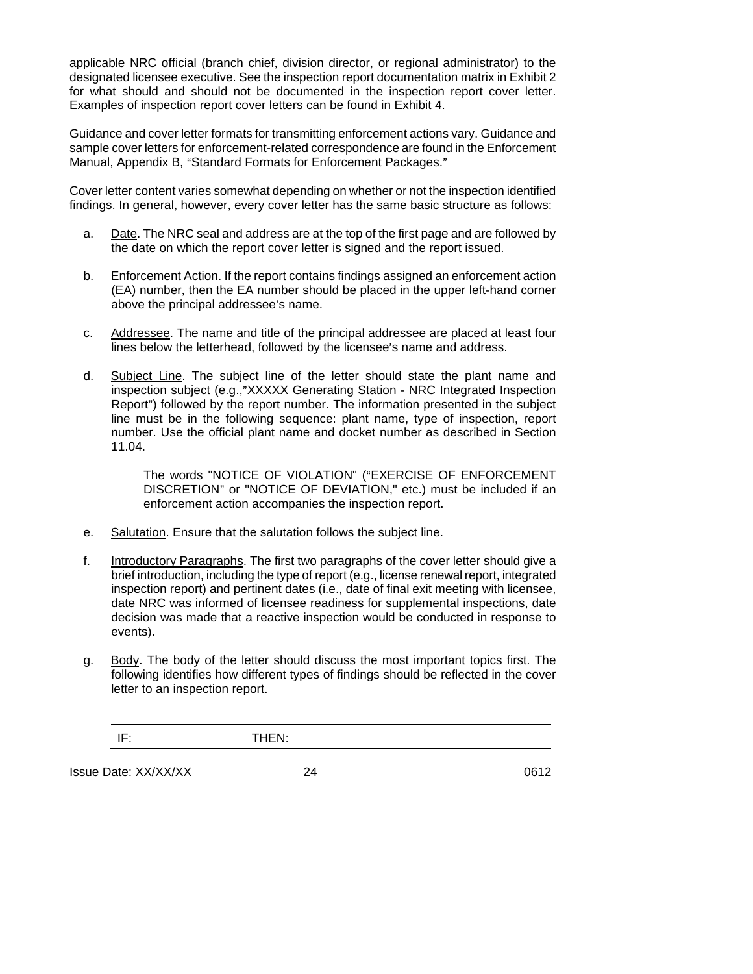applicable NRC official (branch chief, division director, or regional administrator) to the designated licensee executive. See the inspection report documentation matrix in Exhibit 2 for what should and should not be documented in the inspection report cover letter. Examples of inspection report cover letters can be found in Exhibit 4.

Guidance and cover letter formats for transmitting enforcement actions vary. Guidance and sample cover letters for enforcement-related correspondence are found in the Enforcement Manual, Appendix B, "Standard Formats for Enforcement Packages."

Cover letter content varies somewhat depending on whether or not the inspection identified findings. In general, however, every cover letter has the same basic structure as follows:

- a. Date. The NRC seal and address are at the top of the first page and are followed by the date on which the report cover letter is signed and the report issued.
- b. Enforcement Action. If the report contains findings assigned an enforcement action (EA) number, then the EA number should be placed in the upper left-hand corner above the principal addressee's name.
- c. Addressee. The name and title of the principal addressee are placed at least four lines below the letterhead, followed by the licensee's name and address.
- d. Subject Line. The subject line of the letter should state the plant name and inspection subject (e.g.,"XXXXX Generating Station - NRC Integrated Inspection Report") followed by the report number. The information presented in the subject line must be in the following sequence: plant name, type of inspection, report number. Use the official plant name and docket number as described in Section 11.04.

The words "NOTICE OF VIOLATION" ("EXERCISE OF ENFORCEMENT DISCRETION" or "NOTICE OF DEVIATION," etc.) must be included if an enforcement action accompanies the inspection report.

- e. Salutation. Ensure that the salutation follows the subject line.
- f. Introductory Paragraphs. The first two paragraphs of the cover letter should give a brief introduction, including the type of report (e.g., license renewal report, integrated inspection report) and pertinent dates (i.e., date of final exit meeting with licensee, date NRC was informed of licensee readiness for supplemental inspections, date decision was made that a reactive inspection would be conducted in response to events).
- g. Body. The body of the letter should discuss the most important topics first. The following identifies how different types of findings should be reflected in the cover letter to an inspection report.

Issue Date: XX/XX/XX and the control of the 24 and 24 and 24 and 24 and 24 and 24 and 24 and 2612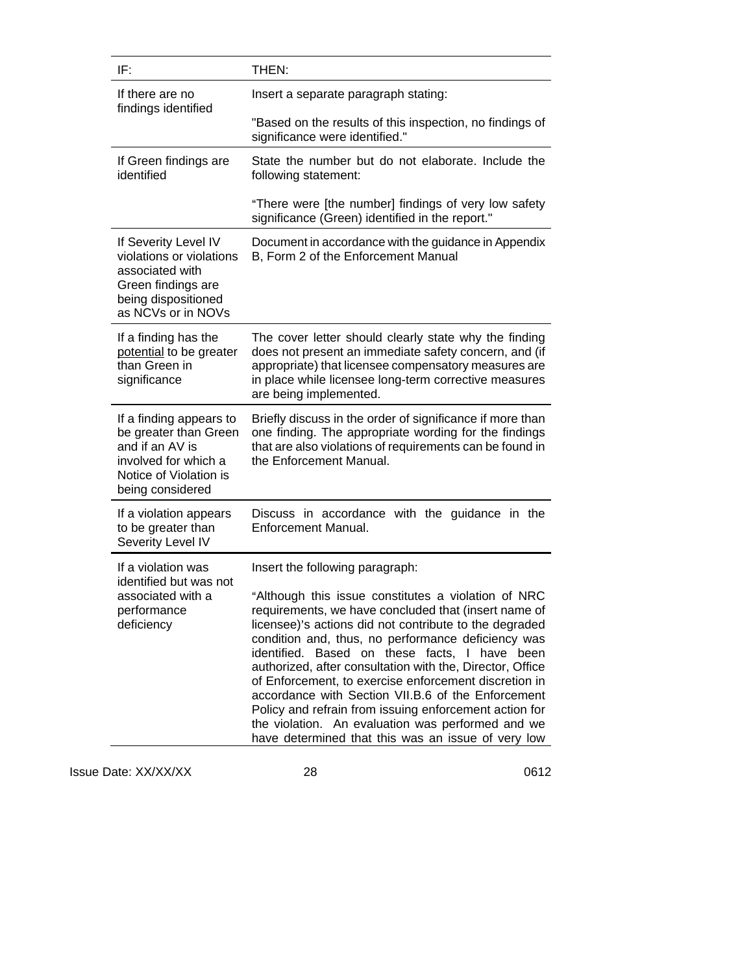| IF:                                                                                                                                       | THEN:                                                                                                                                                                                                                                                                                                                                                                                                                                                                                                                                                                                                                                                               |  |  |
|-------------------------------------------------------------------------------------------------------------------------------------------|---------------------------------------------------------------------------------------------------------------------------------------------------------------------------------------------------------------------------------------------------------------------------------------------------------------------------------------------------------------------------------------------------------------------------------------------------------------------------------------------------------------------------------------------------------------------------------------------------------------------------------------------------------------------|--|--|
| If there are no<br>findings identified                                                                                                    | Insert a separate paragraph stating:                                                                                                                                                                                                                                                                                                                                                                                                                                                                                                                                                                                                                                |  |  |
|                                                                                                                                           | "Based on the results of this inspection, no findings of<br>significance were identified."                                                                                                                                                                                                                                                                                                                                                                                                                                                                                                                                                                          |  |  |
| If Green findings are<br>identified                                                                                                       | State the number but do not elaborate. Include the<br>following statement:                                                                                                                                                                                                                                                                                                                                                                                                                                                                                                                                                                                          |  |  |
|                                                                                                                                           | "There were [the number] findings of very low safety<br>significance (Green) identified in the report."                                                                                                                                                                                                                                                                                                                                                                                                                                                                                                                                                             |  |  |
| If Severity Level IV<br>violations or violations<br>associated with<br>Green findings are<br>being dispositioned<br>as NCVs or in NOVs    | Document in accordance with the guidance in Appendix<br>B, Form 2 of the Enforcement Manual                                                                                                                                                                                                                                                                                                                                                                                                                                                                                                                                                                         |  |  |
| If a finding has the<br>potential to be greater<br>than Green in<br>significance                                                          | The cover letter should clearly state why the finding<br>does not present an immediate safety concern, and (if<br>appropriate) that licensee compensatory measures are<br>in place while licensee long-term corrective measures<br>are being implemented.                                                                                                                                                                                                                                                                                                                                                                                                           |  |  |
| If a finding appears to<br>be greater than Green<br>and if an AV is<br>involved for which a<br>Notice of Violation is<br>being considered | Briefly discuss in the order of significance if more than<br>one finding. The appropriate wording for the findings<br>that are also violations of requirements can be found in<br>the Enforcement Manual.                                                                                                                                                                                                                                                                                                                                                                                                                                                           |  |  |
| If a violation appears<br>to be greater than<br>Severity Level IV                                                                         | Discuss in accordance with the guidance in the<br>Enforcement Manual.                                                                                                                                                                                                                                                                                                                                                                                                                                                                                                                                                                                               |  |  |
| If a violation was<br>identified but was not<br>associated with a<br>performance<br>deficiency                                            | Insert the following paragraph:<br>"Although this issue constitutes a violation of NRC<br>requirements, we have concluded that (insert name of<br>licensee)'s actions did not contribute to the degraded<br>condition and, thus, no performance deficiency was<br>identified. Based on these facts, I have<br>been<br>authorized, after consultation with the, Director, Office<br>of Enforcement, to exercise enforcement discretion in<br>accordance with Section VII.B.6 of the Enforcement<br>Policy and refrain from issuing enforcement action for<br>the violation. An evaluation was performed and we<br>have determined that this was an issue of very low |  |  |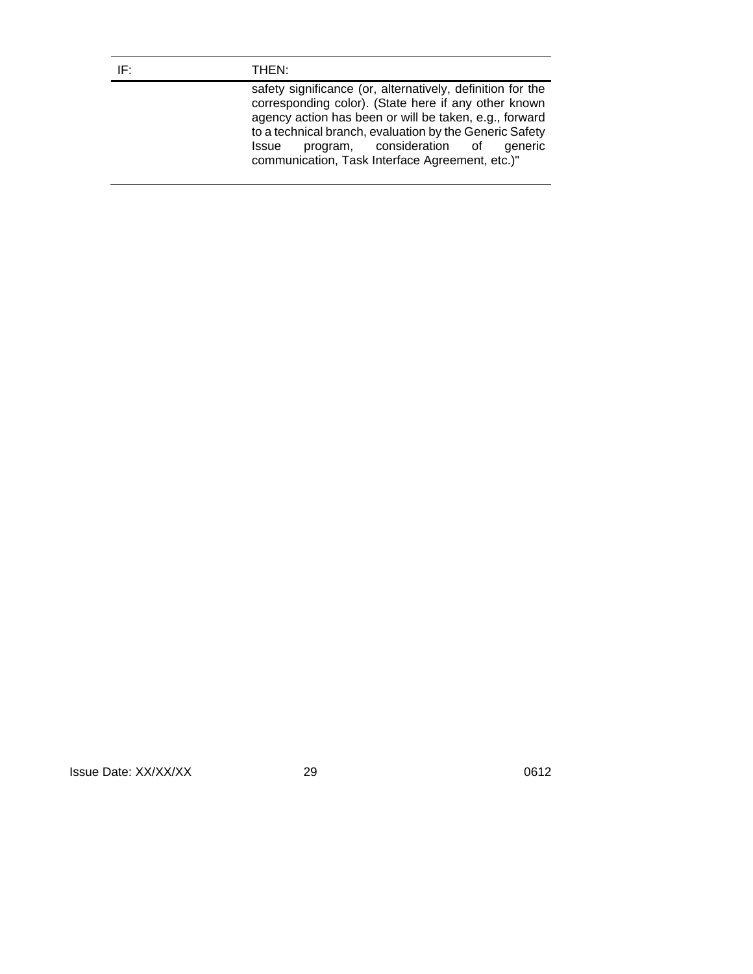#### IF: THEN:

safety significance (or, alternatively, definition for the corresponding color). (State here if any other known agency action has been or will be taken, e.g., forward to a technical branch, evaluation by the Generic Safety Issue program, consideration of generic communication, Task Interface Agreement, etc.)"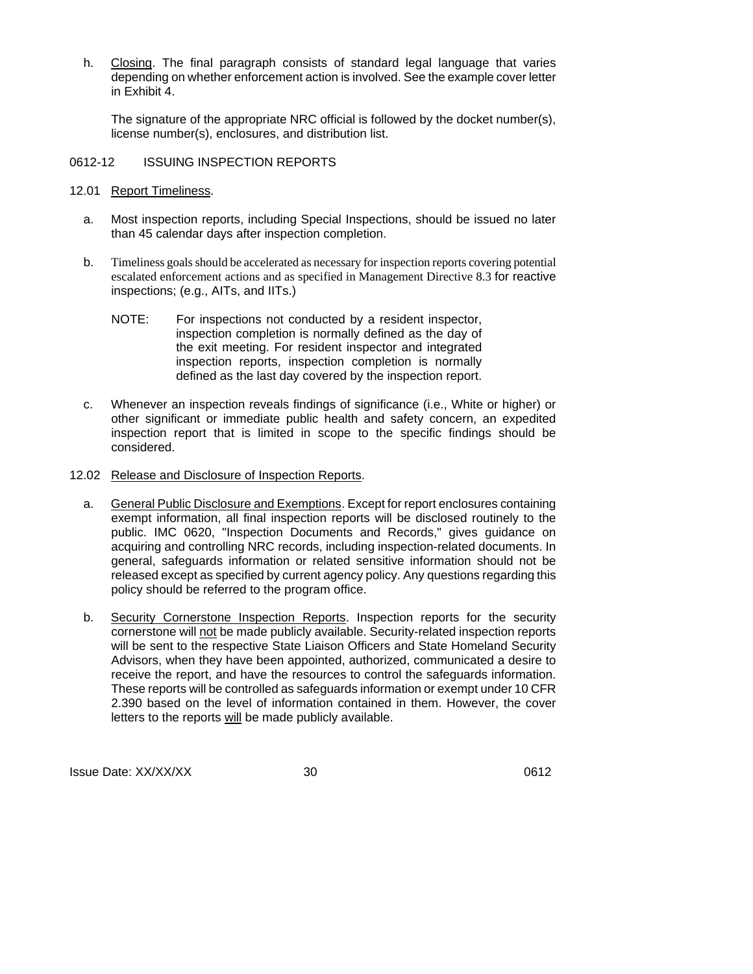h. Closing. The final paragraph consists of standard legal language that varies depending on whether enforcement action is involved. See the example cover letter in Exhibit 4.

The signature of the appropriate NRC official is followed by the docket number(s), license number(s), enclosures, and distribution list.

## 0612-12 ISSUING INSPECTION REPORTS

- 12.01 Report Timeliness.
	- a. Most inspection reports, including Special Inspections, should be issued no later than 45 calendar days after inspection completion.
	- b. Timeliness goals should be accelerated as necessary for inspection reports covering potential escalated enforcement actions and as specified in Management Directive 8.3 for reactive inspections; (e.g., AITs, and IITs.)
		- NOTE: For inspections not conducted by a resident inspector, inspection completion is normally defined as the day of the exit meeting. For resident inspector and integrated inspection reports, inspection completion is normally defined as the last day covered by the inspection report.
	- c. Whenever an inspection reveals findings of significance (i.e., White or higher) or other significant or immediate public health and safety concern, an expedited inspection report that is limited in scope to the specific findings should be considered.
- 12.02 Release and Disclosure of Inspection Reports.
	- a. General Public Disclosure and Exemptions. Except for report enclosures containing exempt information, all final inspection reports will be disclosed routinely to the public. IMC 0620, "Inspection Documents and Records," gives guidance on acquiring and controlling NRC records, including inspection-related documents. In general, safeguards information or related sensitive information should not be released except as specified by current agency policy. Any questions regarding this policy should be referred to the program office.
	- b. Security Cornerstone Inspection Reports. Inspection reports for the security cornerstone will not be made publicly available. Security-related inspection reports will be sent to the respective State Liaison Officers and State Homeland Security Advisors, when they have been appointed, authorized, communicated a desire to receive the report, and have the resources to control the safeguards information. These reports will be controlled as safeguards information or exempt under 10 CFR 2.390 based on the level of information contained in them. However, the cover letters to the reports will be made publicly available.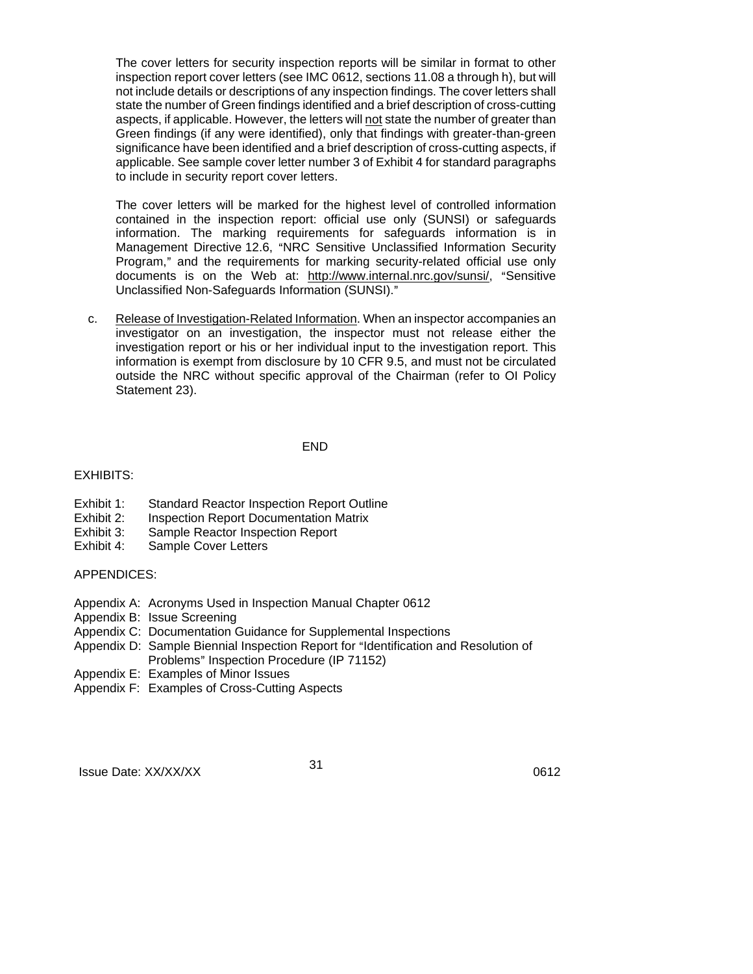The cover letters for security inspection reports will be similar in format to other inspection report cover letters (see IMC 0612, sections 11.08 a through h), but will not include details or descriptions of any inspection findings. The cover letters shall state the number of Green findings identified and a brief description of cross-cutting aspects, if applicable. However, the letters will not state the number of greater than Green findings (if any were identified), only that findings with greater-than-green significance have been identified and a brief description of cross-cutting aspects, if applicable. See sample cover letter number 3 of Exhibit 4 for standard paragraphs to include in security report cover letters.

The cover letters will be marked for the highest level of controlled information contained in the inspection report: official use only (SUNSI) or safeguards information. The marking requirements for safeguards information is in Management Directive 12.6, "NRC Sensitive Unclassified Information Security Program," and the requirements for marking security-related official use only documents is on the Web at: http://www.internal.nrc.gov/sunsi/, "Sensitive Unclassified Non-Safeguards Information (SUNSI)."

c. Release of Investigation-Related Information. When an inspector accompanies an investigator on an investigation, the inspector must not release either the investigation report or his or her individual input to the investigation report. This information is exempt from disclosure by 10 CFR 9.5, and must not be circulated outside the NRC without specific approval of the Chairman (refer to OI Policy Statement 23).

#### END

## EXHIBITS:

- Exhibit 1: Standard Reactor Inspection Report Outline
- Exhibit 2: Inspection Report Documentation Matrix
- Exhibit 3: Sample Reactor Inspection Report
- Exhibit 4: Sample Cover Letters

#### APPENDICES:

- Appendix A: Acronyms Used in Inspection Manual Chapter 0612
- Appendix B: Issue Screening
- Appendix C: Documentation Guidance for Supplemental Inspections
- Appendix D: Sample Biennial Inspection Report for "Identification and Resolution of Problems" Inspection Procedure (IP 71152)
- Appendix E: Examples of Minor Issues
- Appendix F: Examples of Cross-Cutting Aspects

Issue Date: XX/XX/XX 31 31 31 32 32 32 32 33 34 35 36 37 38 38 39 38 39 38 39 38 39 38 39 38 38 39 39 39 30 31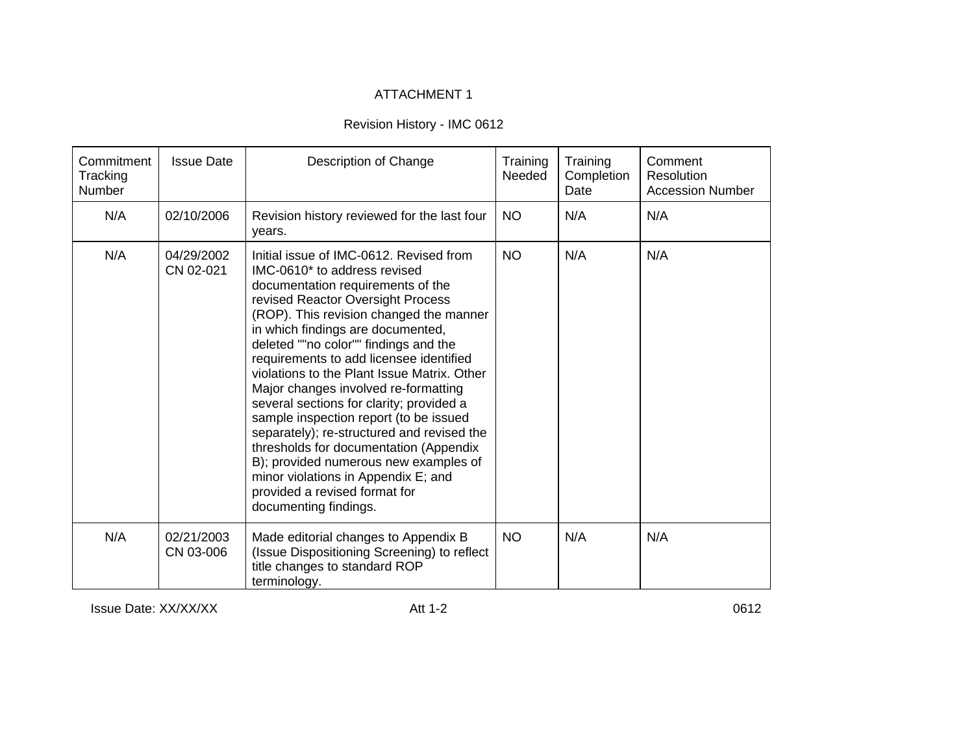# ATTACHMENT 1

# Revision History - IMC 0612

| Commitment<br>Tracking<br>Number | <b>Issue Date</b>       | Description of Change                                                                                                                                                                                                                                                                                                                                                                                                                                                                                                                                                                                                                                                                                                                | Training<br>Needed | Training<br>Completion<br>Date | Comment<br>Resolution<br><b>Accession Number</b> |
|----------------------------------|-------------------------|--------------------------------------------------------------------------------------------------------------------------------------------------------------------------------------------------------------------------------------------------------------------------------------------------------------------------------------------------------------------------------------------------------------------------------------------------------------------------------------------------------------------------------------------------------------------------------------------------------------------------------------------------------------------------------------------------------------------------------------|--------------------|--------------------------------|--------------------------------------------------|
| N/A                              | 02/10/2006              | Revision history reviewed for the last four<br>years.                                                                                                                                                                                                                                                                                                                                                                                                                                                                                                                                                                                                                                                                                | <b>NO</b>          | N/A                            | N/A                                              |
| N/A                              | 04/29/2002<br>CN 02-021 | Initial issue of IMC-0612. Revised from<br>IMC-0610* to address revised<br>documentation requirements of the<br>revised Reactor Oversight Process<br>(ROP). This revision changed the manner<br>in which findings are documented,<br>deleted ""no color"" findings and the<br>requirements to add licensee identified<br>violations to the Plant Issue Matrix. Other<br>Major changes involved re-formatting<br>several sections for clarity; provided a<br>sample inspection report (to be issued<br>separately); re-structured and revised the<br>thresholds for documentation (Appendix<br>B); provided numerous new examples of<br>minor violations in Appendix E; and<br>provided a revised format for<br>documenting findings. | <b>NO</b>          | N/A                            | N/A                                              |
| N/A                              | 02/21/2003<br>CN 03-006 | Made editorial changes to Appendix B<br>(Issue Dispositioning Screening) to reflect<br>title changes to standard ROP<br>terminology.                                                                                                                                                                                                                                                                                                                                                                                                                                                                                                                                                                                                 | <b>NO</b>          | N/A                            | N/A                                              |

Issue Date: XX/XX/XX Att 1-2

0612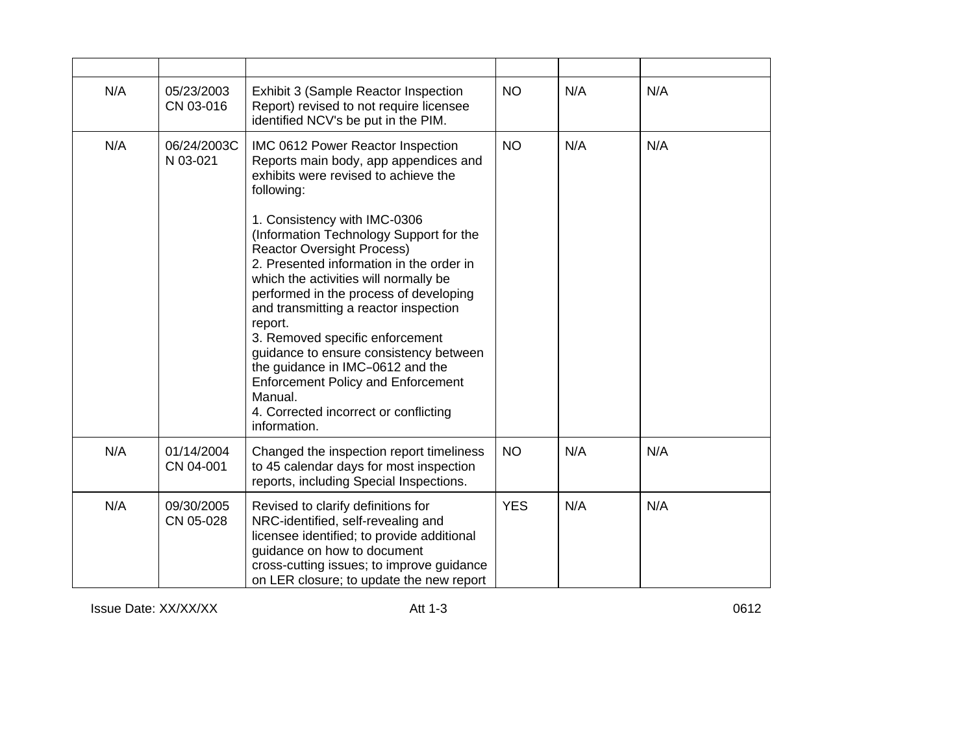| N/A | 05/23/2003<br>CN 03-016 | Exhibit 3 (Sample Reactor Inspection<br>Report) revised to not require licensee<br>identified NCV's be put in the PIM.                                                                                                                                                                                                                                                                                                                                                                                                                                                                                                                                                | <b>NO</b>  | N/A | N/A |
|-----|-------------------------|-----------------------------------------------------------------------------------------------------------------------------------------------------------------------------------------------------------------------------------------------------------------------------------------------------------------------------------------------------------------------------------------------------------------------------------------------------------------------------------------------------------------------------------------------------------------------------------------------------------------------------------------------------------------------|------------|-----|-----|
| N/A | 06/24/2003C<br>N 03-021 | IMC 0612 Power Reactor Inspection<br>Reports main body, app appendices and<br>exhibits were revised to achieve the<br>following:<br>1. Consistency with IMC-0306<br>(Information Technology Support for the<br><b>Reactor Oversight Process)</b><br>2. Presented information in the order in<br>which the activities will normally be<br>performed in the process of developing<br>and transmitting a reactor inspection<br>report.<br>3. Removed specific enforcement<br>quidance to ensure consistency between<br>the guidance in IMC-0612 and the<br><b>Enforcement Policy and Enforcement</b><br>Manual.<br>4. Corrected incorrect or conflicting<br>information. | <b>NO</b>  | N/A | N/A |
| N/A | 01/14/2004<br>CN 04-001 | Changed the inspection report timeliness<br>to 45 calendar days for most inspection<br>reports, including Special Inspections.                                                                                                                                                                                                                                                                                                                                                                                                                                                                                                                                        | <b>NO</b>  | N/A | N/A |
| N/A | 09/30/2005<br>CN 05-028 | Revised to clarify definitions for<br>NRC-identified, self-revealing and<br>licensee identified; to provide additional<br>guidance on how to document<br>cross-cutting issues; to improve guidance<br>on LER closure; to update the new report                                                                                                                                                                                                                                                                                                                                                                                                                        | <b>YES</b> | N/A | N/A |

Issue Date: XX/XX/XX Att 1-3

0612